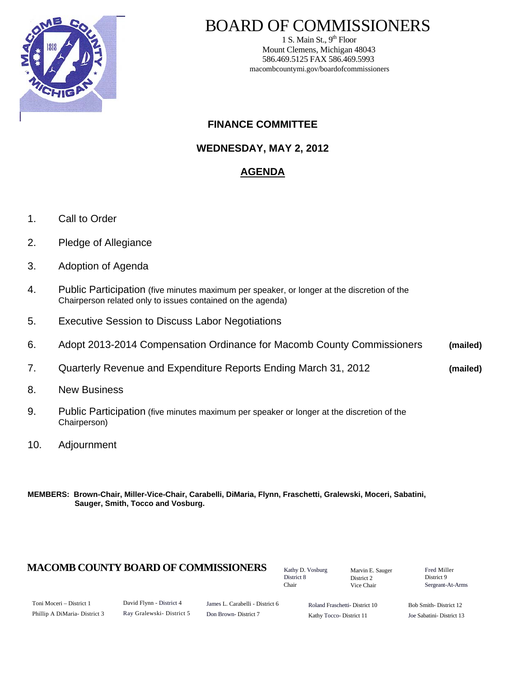

# BOARD OF COMMISSIONERS

1 S. Main St.,  $9<sup>th</sup>$  Floor Mount Clemens, Michigan 48043 586.469.5125 FAX 586.469.5993 macombcountymi.gov/boardofcommissioners

### **FINANCE COMMITTEE**

**WEDNESDAY, MAY 2, 2012** 

### **AGENDA**

- 1. Call to Order
- 2. Pledge of Allegiance
- 3. Adoption of Agenda
- 4. Public Participation (five minutes maximum per speaker, or longer at the discretion of the Chairperson related only to issues contained on the agenda)
- 5. Executive Session to Discuss Labor Negotiations
- 6. Adopt 2013-2014 Compensation Ordinance for Macomb County Commissioners **(mailed)**
- 7. Quarterly Revenue and Expenditure Reports Ending March 31, 2012 **(mailed)**
- 8. New Business
- 9. Public Participation (five minutes maximum per speaker or longer at the discretion of the Chairperson)
- 10. Adjournment
- **MEMBERS: Brown-Chair, Miller-Vice-Chair, Carabelli, DiMaria, Flynn, Fraschetti, Gralewski, Moceri, Sabatini, Sauger, Smith, Tocco and Vosburg.**

### **MACOMB COUNTY BOARD OF COMMISSIONERS** Factor D. Vosburg Marvin F. Sauger Fred Miller

Kathy D. Vosburg District 8 Chair

Marvin E. Sauger District 2 Vice Chair

District 9 Sergeant-At-Arms

| Toni Moceri – District 1      |  |
|-------------------------------|--|
| Phillip A DiMaria- District 3 |  |

James L. Carabelli - District 6 Don Brown- District 7

Roland Fraschetti- District 10 Kathy Tocco- District 11

Bob Smith- District 12 Joe Sabatini- District 13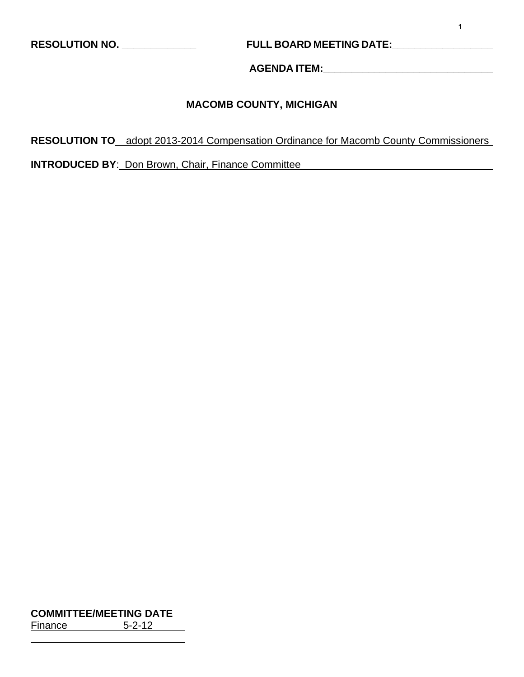**RESOLUTION NO. \_\_\_\_\_\_\_\_\_\_\_\_\_ FULL BOARD MEETING DATE:\_\_\_\_\_\_\_\_\_\_\_\_\_\_\_\_\_\_** 

**AGENDA ITEM:\_\_\_\_\_\_\_\_\_\_\_\_\_\_\_\_\_\_\_\_\_\_\_\_\_\_\_\_\_\_** 

### **MACOMB COUNTY, MICHIGAN**

**RESOLUTION TO** adopt 2013-2014 Compensation Ordinance for Macomb County Commissioners

**INTRODUCED BY**: Don Brown, Chair, Finance Committee

**COMMITTEE/MEETING DATE** Finance 5-2-12

l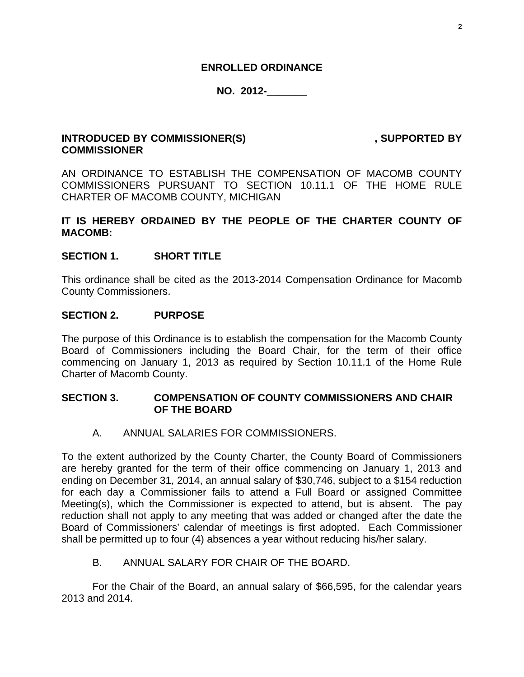### **ENROLLED ORDINANCE**

### **NO. 2012-\_\_\_\_\_\_\_**

### INTRODUCED BY COMMISSIONER(S) **ACCOUNT ASSESSED BY** , SUPPORTED BY **COMMISSIONER**

AN ORDINANCE TO ESTABLISH THE COMPENSATION OF MACOMB COUNTY COMMISSIONERS PURSUANT TO SECTION 10.11.1 OF THE HOME RULE CHARTER OF MACOMB COUNTY, MICHIGAN

### **IT IS HEREBY ORDAINED BY THE PEOPLE OF THE CHARTER COUNTY OF MACOMB:**

### **SECTION 1. SHORT TITLE**

This ordinance shall be cited as the 2013-2014 Compensation Ordinance for Macomb County Commissioners.

### **SECTION 2. PURPOSE**

The purpose of this Ordinance is to establish the compensation for the Macomb County Board of Commissioners including the Board Chair, for the term of their office commencing on January 1, 2013 as required by Section 10.11.1 of the Home Rule Charter of Macomb County.

### **SECTION 3. COMPENSATION OF COUNTY COMMISSIONERS AND CHAIR OF THE BOARD**

A. ANNUAL SALARIES FOR COMMISSIONERS.

To the extent authorized by the County Charter, the County Board of Commissioners are hereby granted for the term of their office commencing on January 1, 2013 and ending on December 31, 2014, an annual salary of \$30,746, subject to a \$154 reduction for each day a Commissioner fails to attend a Full Board or assigned Committee Meeting(s), which the Commissioner is expected to attend, but is absent. The pay reduction shall not apply to any meeting that was added or changed after the date the Board of Commissioners' calendar of meetings is first adopted. Each Commissioner shall be permitted up to four (4) absences a year without reducing his/her salary.

B. ANNUAL SALARY FOR CHAIR OF THE BOARD.

 For the Chair of the Board, an annual salary of \$66,595, for the calendar years 2013 and 2014.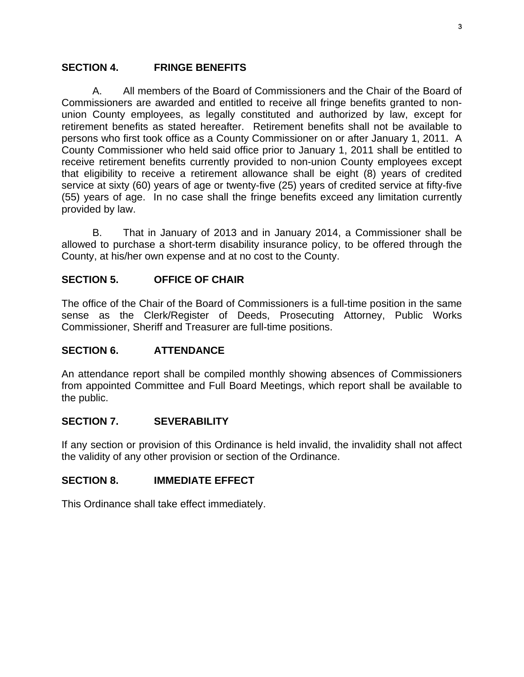### **SECTION 4. FRINGE BENEFITS**

 A. All members of the Board of Commissioners and the Chair of the Board of Commissioners are awarded and entitled to receive all fringe benefits granted to nonunion County employees, as legally constituted and authorized by law, except for retirement benefits as stated hereafter. Retirement benefits shall not be available to persons who first took office as a County Commissioner on or after January 1, 2011. A County Commissioner who held said office prior to January 1, 2011 shall be entitled to receive retirement benefits currently provided to non-union County employees except that eligibility to receive a retirement allowance shall be eight (8) years of credited service at sixty (60) years of age or twenty-five (25) years of credited service at fifty-five (55) years of age. In no case shall the fringe benefits exceed any limitation currently provided by law.

 B. That in January of 2013 and in January 2014, a Commissioner shall be allowed to purchase a short-term disability insurance policy, to be offered through the County, at his/her own expense and at no cost to the County.

### **SECTION 5. OFFICE OF CHAIR**

The office of the Chair of the Board of Commissioners is a full-time position in the same sense as the Clerk/Register of Deeds, Prosecuting Attorney, Public Works Commissioner, Sheriff and Treasurer are full-time positions.

### **SECTION 6. ATTENDANCE**

An attendance report shall be compiled monthly showing absences of Commissioners from appointed Committee and Full Board Meetings, which report shall be available to the public.

### **SECTION 7. SEVERABILITY**

If any section or provision of this Ordinance is held invalid, the invalidity shall not affect the validity of any other provision or section of the Ordinance.

### **SECTION 8. IMMEDIATE EFFECT**

This Ordinance shall take effect immediately.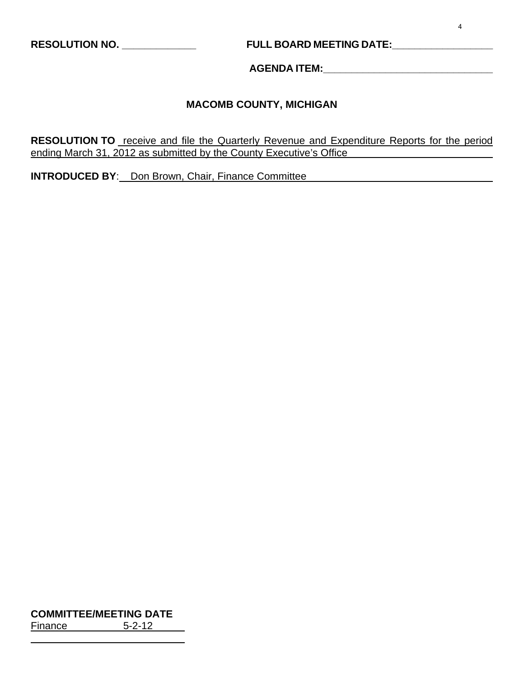### **RESOLUTION NO. \_\_\_\_\_\_\_\_\_\_\_\_\_ FULL BOARD MEETING DATE:\_\_\_\_\_\_\_\_\_\_\_\_\_\_\_\_\_\_**

**AGENDA ITEM:\_\_\_\_\_\_\_\_\_\_\_\_\_\_\_\_\_\_\_\_\_\_\_\_\_\_\_\_\_\_** 

### **MACOMB COUNTY, MICHIGAN**

**RESOLUTION TO** receive and file the Quarterly Revenue and Expenditure Reports for the period ending March 31, 2012 as submitted by the County Executive's Office

**INTRODUCED BY**: Don Brown, Chair, Finance Committee

**COMMITTEE/MEETING DATE** Finance 5-2-12

 $\overline{a}$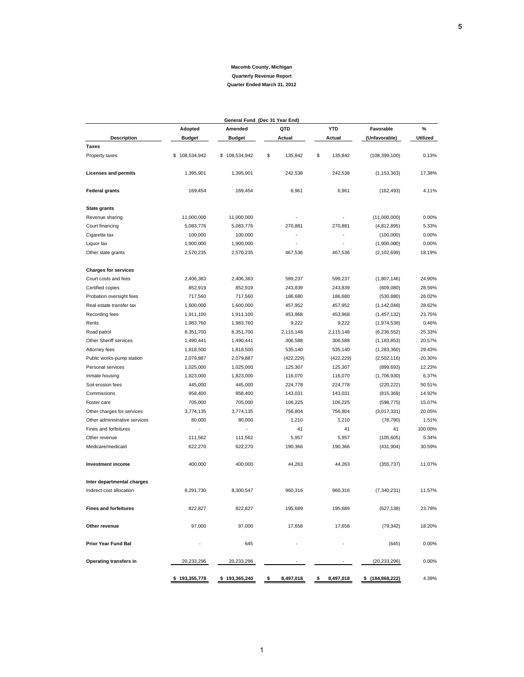| General Fund (Dec 31 Year End) |                   |                   |                 |                 |                   |                 |  |  |  |  |
|--------------------------------|-------------------|-------------------|-----------------|-----------------|-------------------|-----------------|--|--|--|--|
|                                | Adopted           | Amended           | QTD             | <b>YTD</b>      | Favorable         | %               |  |  |  |  |
| <b>Description</b>             | <b>Budget</b>     | <b>Budget</b>     | Actual          | Actual          | (Unfavorable)     | <b>Utilized</b> |  |  |  |  |
| Taxes                          |                   |                   |                 |                 |                   |                 |  |  |  |  |
| Property taxes                 | \$<br>108,534,942 | \$108,534,942     | \$<br>135,842   | \$<br>135,842   | (108, 399, 100)   | 0.13%           |  |  |  |  |
| <b>Licenses and permits</b>    | 1,395,901         | 1,395,901         | 242,538         | 242,538         | (1, 153, 363)     | 17.38%          |  |  |  |  |
| <b>Federal grants</b>          | 169,454           | 169,454           | 6,961           | 6,961           | (162, 493)        | 4.11%           |  |  |  |  |
| <b>State grants</b>            |                   |                   |                 |                 |                   |                 |  |  |  |  |
| Revenue sharing                | 11,000,000        | 11,000,000        |                 |                 | (11,000,000)      | 0.00%           |  |  |  |  |
| Court financing                | 5,083,776         | 5,083,776         | 270,881         | 270.881         | (4,812,895)       | 5.33%           |  |  |  |  |
| Cigarette tax                  | 100,000           | 100,000           |                 |                 | (100,000)         | 0.00%           |  |  |  |  |
| Liquor tax                     | 1,900,000         | 1,900,000         |                 |                 | (1,900,000)       | 0.00%           |  |  |  |  |
| Other state grants             | 2,570,235         | 2,570,235         | 467,536         | 467,536         | (2, 102, 699)     | 18.19%          |  |  |  |  |
| <b>Charges for services</b>    |                   |                   |                 |                 |                   |                 |  |  |  |  |
| Court costs and fees           | 2,406,383         | 2,406,383         | 599,237         | 599,237         | (1,807,146)       | 24.90%          |  |  |  |  |
| Certified copies               | 852,919           | 852,919           | 243,839         | 243,839         | (609,080)         | 28.59%          |  |  |  |  |
| Probation oversight fees       | 717,560           | 717,560           | 186,680         | 186,680         | (530, 880)        | 26.02%          |  |  |  |  |
| Real estate transfer tax       | 1,600,000         | 1,600,000         | 457,952         | 457,952         | (1, 142, 048)     | 28.62%          |  |  |  |  |
| Recording fees                 | 1,911,100         | 1,911,100         | 453,968         | 453,968         | (1, 457, 132)     | 23.75%          |  |  |  |  |
| Rents                          | 1,983,760         | 1,983,760         | 9,222           | 9,222           | (1,974,538)       | 0.46%           |  |  |  |  |
| Road patrol                    | 8,351,700         | 8,351,700         | 2,115,148       | 2,115,148       | (6, 236, 552)     | 25.33%          |  |  |  |  |
| Other Sheriff services         | 1,490,441         | 1,490,441         | 306,588         | 306,588         | (1, 183, 853)     | 20.57%          |  |  |  |  |
| Attorney fees                  | 1,818,500         | 1,818,500         | 535,140         | 535,140         | (1,283,360)       | 29.43%          |  |  |  |  |
| Public works-pump station      | 2,079,887         | 2,079,887         | (422, 229)      | (422, 229)      | (2,502,116)       | $-20.30%$       |  |  |  |  |
| Personal services              | 1,025,000         | 1,025,000         | 125,307         | 125,307         | (899, 693)        | 12.23%          |  |  |  |  |
| Inmate housing                 | 1,823,000         | 1,823,000         | 116,070         | 116,070         | (1,706,930)       | 6.37%           |  |  |  |  |
| Soil erosion fees              | 445,000           | 445,000           | 224,778         | 224,778         | (220, 222)        | 50.51%          |  |  |  |  |
| Commissions                    | 958,400           | 958,400           | 143,031         | 143,031         | (815, 369)        | 14.92%          |  |  |  |  |
| Foster care                    | 705,000           | 705,000           | 106,225         | 106,225         | (598, 775)        | 15.07%          |  |  |  |  |
| Other charges for services     | 3,774,135         | 3,774,135         | 756,804         | 756,804         | (3,017,331)       | 20.05%          |  |  |  |  |
| Other administrative services  | 80,000            | 80,000            | 1,210           | 1,210           | (78, 790)         | 1.51%           |  |  |  |  |
| Fines and forfeitures          |                   |                   | 41              | 41              | 41                | 100.00%         |  |  |  |  |
| Other revenue                  | 111,562           | 111,562           | 5,957           | 5,957           | (105, 605)        | 5.34%           |  |  |  |  |
| Medicare/medicaid              | 622,270           | 622,270           | 190,366         | 190,366         | (431, 904)        | 30.59%          |  |  |  |  |
| Investment income              | 400,000           | 400,000           | 44,263          | 44,263          | (355, 737)        | 11.07%          |  |  |  |  |
| Inter departmental charges     |                   |                   |                 |                 |                   |                 |  |  |  |  |
| Indirect cost allocation       | 8,291,730         | 8,300,547         | 960,316         | 960,316         | (7, 340, 231)     | 11.57%          |  |  |  |  |
| <b>Fines and forfeitures</b>   | 822,827           | 822,827           | 195,689         | 195,689         | (627, 138)        | 23.78%          |  |  |  |  |
| Other revenue                  | 97,000            | 97,000            | 17,658          | 17,658          | (79, 342)         | 18.20%          |  |  |  |  |
| Prior Year Fund Bal            |                   | 645               |                 |                 | (645)             | 0.00%           |  |  |  |  |
| Operating transfers in         | 20,233,296        | 20,233,296        |                 |                 | (20, 233, 296)    | 0.00%           |  |  |  |  |
|                                | 193,355,778<br>s  | \$<br>193,365,240 | 8,497,018<br>\$ | 8,497,018<br>\$ | \$(184, 868, 222) | 4.39%           |  |  |  |  |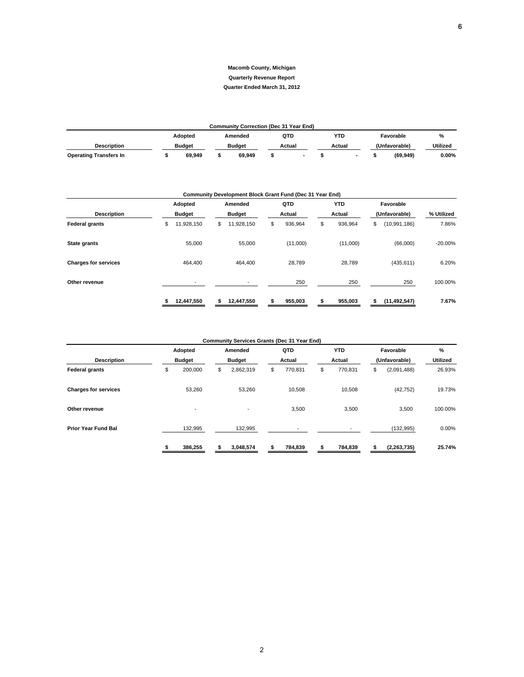#### **Macomb County, Michigan Quarterly Revenue Report**

#### **Quarter Ended March 31, 2012**

| <b>Community Correction (Dec 31 Year End)</b> |  |        |  |               |        |                          |        |  |  |               |                 |  |
|-----------------------------------------------|--|--------|--|---------------|--------|--------------------------|--------|--|--|---------------|-----------------|--|
| YTD<br>QTD<br>Adopted<br>Favorable<br>Amended |  |        |  |               |        |                          |        |  |  |               | %               |  |
| <b>Description</b>                            |  | Budaet |  | <b>Budget</b> | Actual |                          | Actual |  |  | (Unfavorable) | <b>Utilized</b> |  |
| <b>Operating Transfers In</b>                 |  | 69.949 |  | 69.949        |        | $\overline{\phantom{a}}$ |        |  |  | (69, 949)     | $0.00\%$        |  |

| Community Development Block Grant Fund (Dec 31 Year End) |                                |                  |               |               |                      |            |  |  |  |  |  |  |
|----------------------------------------------------------|--------------------------------|------------------|---------------|---------------|----------------------|------------|--|--|--|--|--|--|
|                                                          | Adopted                        | Amended          | QTD           | <b>YTD</b>    | Favorable            |            |  |  |  |  |  |  |
| <b>Description</b>                                       | <b>Budget</b><br><b>Budget</b> |                  | Actual        | Actual        | (Unfavorable)        | % Utilized |  |  |  |  |  |  |
| <b>Federal grants</b>                                    | 11,928,150<br>\$               | 11,928,150<br>\$ | 936,964<br>\$ | \$<br>936,964 | (10, 991, 186)<br>\$ | 7.86%      |  |  |  |  |  |  |
| State grants                                             | 55,000                         | 55,000           | (11,000)      | (11,000)      | (66,000)             | $-20.00%$  |  |  |  |  |  |  |
| <b>Charges for services</b>                              | 464.400                        | 464,400          | 28.789        | 28,789        | (435, 611)           | 6.20%      |  |  |  |  |  |  |
| Other revenue                                            |                                |                  | 250           | 250           | 250                  | 100.00%    |  |  |  |  |  |  |
|                                                          | 12,447,550                     | 12,447,550<br>s  | 955,003       | 955,003<br>s  | (11, 492, 547)<br>S  | 7.67%      |  |  |  |  |  |  |

| <b>Community Services Grants (Dec 31 Year End)</b> |    |                          |    |                          |    |                          |    |            |               |               |                 |
|----------------------------------------------------|----|--------------------------|----|--------------------------|----|--------------------------|----|------------|---------------|---------------|-----------------|
|                                                    |    | Adopted<br><b>Budget</b> |    | Amended                  |    | QTD                      |    | <b>YTD</b> |               | Favorable     | $\frac{9}{6}$   |
| <b>Description</b>                                 |    |                          |    | <b>Budget</b>            |    | Actual                   |    | Actual     | (Unfavorable) |               | <b>Utilized</b> |
| <b>Federal grants</b>                              | \$ | 200,000                  | \$ | 2,862,319                | \$ | 770,831                  | \$ | 770,831    | \$            | (2,091,488)   | 26.93%          |
| <b>Charges for services</b>                        |    | 53.260                   |    | 53.260                   |    | 10.508                   |    | 10.508     |               | (42, 752)     | 19.73%          |
| Other revenue                                      |    | $\overline{\phantom{a}}$ |    | $\overline{\phantom{a}}$ |    | 3,500                    |    | 3,500      |               | 3,500         | 100.00%         |
| <b>Prior Year Fund Bal</b>                         |    | 132,995                  |    | 132,995                  |    | $\overline{\phantom{a}}$ |    |            |               | (132, 995)    | 0.00%           |
|                                                    |    | 386,255                  |    | 3,048,574                |    | 784,839                  |    | 784,839    |               | (2, 263, 735) | 25.74%          |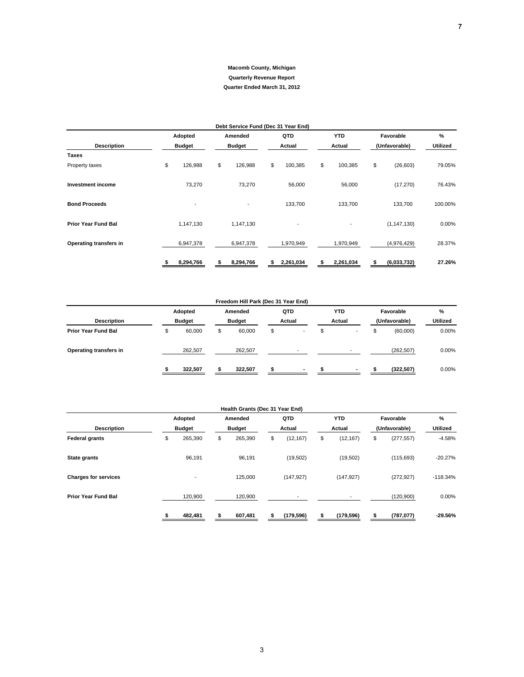|                            |               | Debt Service Fund (Dec 31 Year End) |    |                          |    |                          |    |               |                      |
|----------------------------|---------------|-------------------------------------|----|--------------------------|----|--------------------------|----|---------------|----------------------|
|                            | Adopted       | Amended                             |    | QTD                      |    | <b>YTD</b>               |    | Favorable     | %<br><b>Utilized</b> |
| <b>Description</b>         | <b>Budget</b> | <b>Budget</b>                       |    | Actual                   |    | Actual                   |    | (Unfavorable) |                      |
| <b>Taxes</b>               |               |                                     |    |                          |    |                          |    |               |                      |
| Property taxes             | \$<br>126,988 | \$<br>126,988                       | \$ | 100,385                  | \$ | 100,385                  | \$ | (26, 603)     | 79.05%               |
| <b>Investment income</b>   | 73,270        | 73,270                              |    | 56,000                   |    | 56,000                   |    | (17, 270)     | 76.43%               |
| <b>Bond Proceeds</b>       |               | $\overline{\phantom{a}}$            |    | 133,700                  |    | 133,700                  |    | 133,700       | 100.00%              |
| <b>Prior Year Fund Bal</b> | 1,147,130     | 1,147,130                           |    | $\overline{\phantom{a}}$ |    | $\overline{\phantom{a}}$ |    | (1, 147, 130) | 0.00%                |
| Operating transfers in     | 6,947,378     | 6,947,378                           |    | 1,970,949                |    | 1,970,949                |    | (4,976,429)   | 28.37%               |
|                            | 8,294,766     | 8,294,766                           | s  | 2,261,034                | s  | 2,261,034                | S  | (6,033,732)   | 27.26%               |

|                            |               |               | Freedom Hill Park (Dec 31 Year End) |                          |                |               |            |          |
|----------------------------|---------------|---------------|-------------------------------------|--------------------------|----------------|---------------|------------|----------|
|                            | Adopted       |               | Amended                             | QTD                      | <b>YTD</b>     |               | Favorable  | %        |
| <b>Description</b>         | <b>Budget</b> | <b>Budget</b> |                                     | Actual                   | Actual         | (Unfavorable) |            | Utilized |
| <b>Prior Year Fund Bal</b> | \$<br>60,000  | \$            | 60,000                              | \$<br>-                  | \$<br>-        | D             | (60,000)   | 0.00%    |
| Operating transfers in     | 262,507       |               | 262,507                             | $\overline{\phantom{a}}$ | -              |               | (262, 507) | $0.00\%$ |
|                            | 322,507       |               | 322,507                             | $\overline{\phantom{a}}$ | $\blacksquare$ |               | (322, 507) | $0.00\%$ |

|                             |    |                          |    | Health Grants (Dec 31 Year End) |                 |                 |               |            |                 |
|-----------------------------|----|--------------------------|----|---------------------------------|-----------------|-----------------|---------------|------------|-----------------|
|                             |    | Adopted<br><b>Budget</b> |    | Amended                         | QTD             | <b>YTD</b>      |               | Favorable  | %               |
| <b>Description</b>          |    |                          |    | <b>Budget</b>                   | Actual          | Actual          | (Unfavorable) |            | <b>Utilized</b> |
| <b>Federal grants</b>       | \$ | 265,390                  | \$ | 265,390                         | \$<br>(12, 167) | \$<br>(12, 167) | \$            | (277, 557) | $-4.58%$        |
| State grants                |    | 96,191                   |    | 96,191                          | (19,502)        | (19,502)        |               | (115, 693) | $-20.27%$       |
| <b>Charges for services</b> |    | -                        |    | 125,000                         | (147, 927)      | (147, 927)      |               | (272, 927) | $-118.34%$      |
| <b>Prior Year Fund Bal</b>  |    | 120,900                  |    | 120,900                         | $\blacksquare$  |                 |               | (120,900)  | 0.00%           |
|                             |    | 482,481                  |    | 607,481                         | (179, 596)      | (179, 596)      |               | (787, 077) | $-29.56%$       |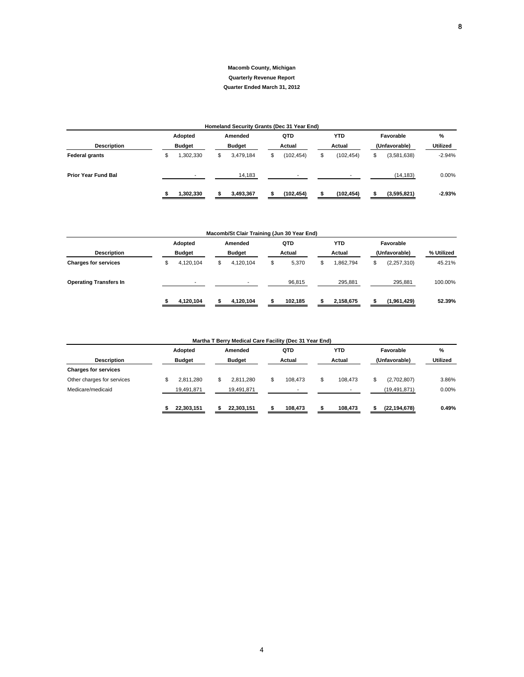#### **Macomb County, Michigan Quarterly Revenue Report**

#### **Quarter Ended March 31, 2012**

| Homeland Security Grants (Dec 31 Year End) |               |                          |               |           |        |                          |        |                |               |             |                 |  |  |
|--------------------------------------------|---------------|--------------------------|---------------|-----------|--------|--------------------------|--------|----------------|---------------|-------------|-----------------|--|--|
|                                            |               | Adopted                  |               | Amended   |        | QTD                      |        | <b>YTD</b>     |               | Favorable   | %               |  |  |
| <b>Description</b>                         | <b>Budget</b> |                          | <b>Budget</b> |           | Actual |                          | Actual |                | (Unfavorable) |             | <b>Utilized</b> |  |  |
| <b>Federal grants</b>                      |               | ,302,330                 | \$            | 3,479,184 | \$     | (102, 454)               | \$     | (102, 454)     | \$            | (3,581,638) | $-2.94%$        |  |  |
| <b>Prior Year Fund Bal</b>                 |               | $\overline{\phantom{a}}$ |               | 14,183    |        | $\overline{\phantom{a}}$ |        | $\blacksquare$ |               | (14, 183)   | 0.00%           |  |  |
|                                            |               | 1,302,330                |               | 3,493,367 |        | (102, 454)               |        | (102, 454)     |               | (3,595,821) | $-2.93%$        |  |  |

|                               | Macomb/St Clair Training (Jun 30 Year End) |                          |               |                |        |         |    |           |           |               |            |  |  |  |
|-------------------------------|--------------------------------------------|--------------------------|---------------|----------------|--------|---------|----|-----------|-----------|---------------|------------|--|--|--|
|                               |                                            | Adopted                  |               | Amended        |        | QTD     |    | YTD       | Favorable |               |            |  |  |  |
| <b>Description</b>            |                                            | <b>Budget</b>            | <b>Budget</b> |                | Actual |         |    | Actual    |           | (Unfavorable) | % Utilized |  |  |  |
| <b>Charges for services</b>   |                                            | 4,120,104                | \$            | 4,120,104      | \$     | 5,370   | \$ | 1,862,794 | \$        | (2,257,310)   | 45.21%     |  |  |  |
| <b>Operating Transfers In</b> |                                            | $\overline{\phantom{a}}$ |               | $\blacksquare$ |        | 96,815  |    | 295.881   |           | 295,881       | 100.00%    |  |  |  |
|                               |                                            | 4,120,104                |               | 4,120,104      |        | 102,185 |    | 2,158,675 |           | (1,961,429)   | 52.39%     |  |  |  |

| Martha T Berry Medical Care Facility (Dec 31 Year End) |               |                 |                |                          |                |                 |  |  |  |  |  |
|--------------------------------------------------------|---------------|-----------------|----------------|--------------------------|----------------|-----------------|--|--|--|--|--|
|                                                        | Adopted       | Amended         | QTD            | <b>YTD</b>               | Favorable      | $\%$            |  |  |  |  |  |
| <b>Description</b>                                     | <b>Budget</b> | <b>Budget</b>   | Actual         | Actual                   | (Unfavorable)  | <b>Utilized</b> |  |  |  |  |  |
| <b>Charges for services</b>                            |               |                 |                |                          |                |                 |  |  |  |  |  |
| Other charges for services                             | 2.811.280     | 2.811.280<br>S. | 108.473<br>S   | \$<br>108.473            | (2,702,807)    | 3.86%           |  |  |  |  |  |
| Medicare/medicaid                                      | 19,491,871    | 19,491,871      | $\blacksquare$ | $\overline{\phantom{0}}$ | (19, 491, 871) | 0.00%           |  |  |  |  |  |
|                                                        | 22,303,151    | 22,303,151      | 108.473        | 108,473                  | (22, 194, 678) | 0.49%           |  |  |  |  |  |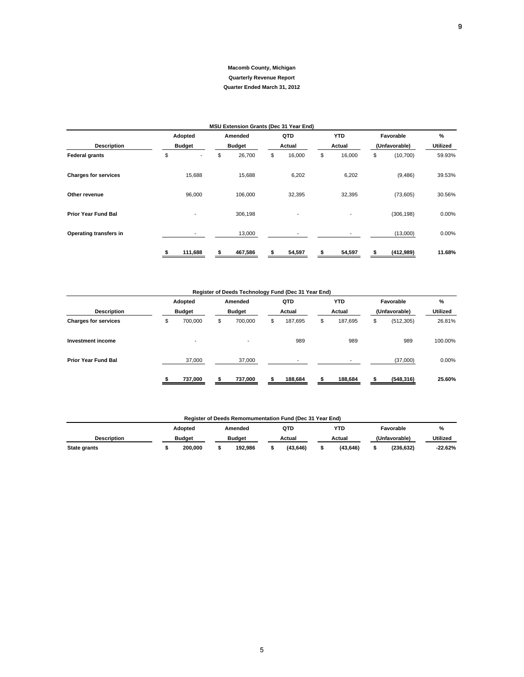|                             |                          | MSU Extension Grants (Dec 31 Year End) |                          |                          |               |            |                 |
|-----------------------------|--------------------------|----------------------------------------|--------------------------|--------------------------|---------------|------------|-----------------|
|                             | Adopted                  | Amended                                | QTD                      | <b>YTD</b>               |               | Favorable  | %               |
| <b>Description</b>          | <b>Budget</b>            | <b>Budget</b>                          | Actual                   | Actual                   | (Unfavorable) |            | <b>Utilized</b> |
| <b>Federal grants</b>       | \$                       | \$<br>26,700                           | \$<br>16,000             | \$<br>16,000             | \$            | (10, 700)  | 59.93%          |
| <b>Charges for services</b> | 15,688                   | 15,688                                 | 6,202                    | 6,202                    |               | (9, 486)   | 39.53%          |
| Other revenue               | 96,000                   | 106,000                                | 32,395                   | 32,395                   |               | (73,605)   | 30.56%          |
| <b>Prior Year Fund Bal</b>  | $\overline{\phantom{a}}$ | 306,198                                | $\overline{\phantom{a}}$ | $\overline{\phantom{a}}$ |               | (306, 198) | $0.00\%$        |
| Operating transfers in      |                          | 13,000                                 |                          |                          |               | (13,000)   | 0.00%           |
|                             | 111,688                  | 467,586                                | 54,597                   | 54,597                   |               | (412,989)  | 11.68%          |

#### **Register of Deeds Technology Fund (Dec 31 Year End)**

|                             |    | Adopted<br><b>Budget</b> |    | Amended<br><b>Budget</b> |    | QTD<br>Actual  |    | <b>YTD</b><br>Actual     |    | Favorable     | $\%$            |  |
|-----------------------------|----|--------------------------|----|--------------------------|----|----------------|----|--------------------------|----|---------------|-----------------|--|
| <b>Description</b>          |    |                          |    |                          |    |                |    |                          |    | (Unfavorable) | <b>Utilized</b> |  |
| <b>Charges for services</b> | \$ | 700,000                  | \$ | 700,000                  | \$ | 187,695        | \$ | 187,695                  | \$ | (512, 305)    | 26.81%          |  |
| Investment income           |    |                          |    | $\blacksquare$           |    | 989            |    | 989                      |    | 989           | 100.00%         |  |
| <b>Prior Year Fund Bal</b>  |    | 37,000                   |    | 37,000                   |    | $\blacksquare$ |    | $\overline{\phantom{a}}$ |    | (37,000)      | 0.00%           |  |
|                             |    | 737,000                  |    | 737,000                  |    | 188,684        |    | 188,684                  |    | (548, 316)    | 25.60%          |  |

| Register of Deeds Remomumentation Fund (Dec 31 Year End) |                                                                                                                      |                                                         |  |  |  |  |  |  |  |   |                 |  |
|----------------------------------------------------------|----------------------------------------------------------------------------------------------------------------------|---------------------------------------------------------|--|--|--|--|--|--|--|---|-----------------|--|
|                                                          | YTD<br>QTD<br>Adopted<br>Favorable<br>Amended<br><b>Budget</b><br>(Unfavorable)<br><b>Budget</b><br>Actual<br>Actual |                                                         |  |  |  |  |  |  |  | % |                 |  |
| <b>Description</b>                                       |                                                                                                                      |                                                         |  |  |  |  |  |  |  |   | <b>Utilized</b> |  |
| State grants                                             |                                                                                                                      | 200.000<br>(236.632)<br>192.986<br>(43.646)<br>(43.646) |  |  |  |  |  |  |  |   |                 |  |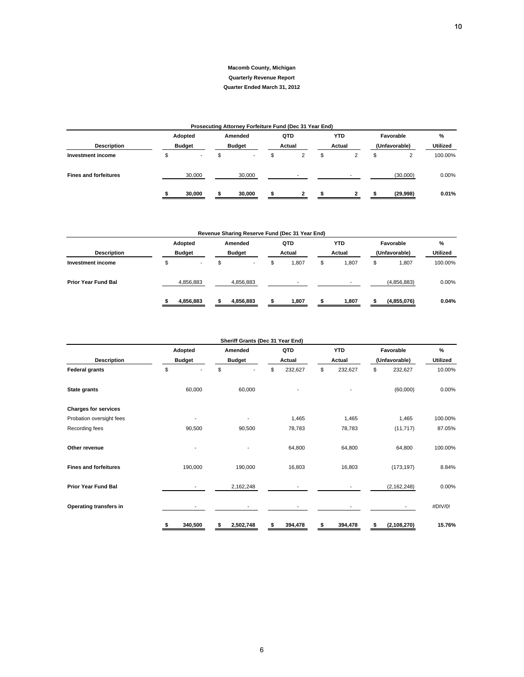#### **Macomb County, Michigan Quarterly Revenue Report**

#### **Quarter Ended March 31, 2012**

| Prosecuting Attorney Forfeiture Fund (Dec 31 Year End) |  |               |  |               |  |                          |  |                          |  |               |                 |  |
|--------------------------------------------------------|--|---------------|--|---------------|--|--------------------------|--|--------------------------|--|---------------|-----------------|--|
|                                                        |  | Adopted       |  | Amended       |  | QTD                      |  | <b>YTD</b>               |  | Favorable     | $\%$            |  |
| <b>Description</b>                                     |  | <b>Budget</b> |  | <b>Budget</b> |  | Actual                   |  | Actual                   |  | (Unfavorable) | <b>Utilized</b> |  |
| Investment income                                      |  |               |  |               |  |                          |  |                          |  | 2             | 100.00%         |  |
| <b>Fines and forfeitures</b>                           |  | 30,000        |  | 30,000        |  | $\overline{\phantom{0}}$ |  | $\overline{\phantom{a}}$ |  | (30,000)      | $0.00\%$        |  |
|                                                        |  | 30.000        |  | 30,000        |  |                          |  |                          |  | (29,998)      | 0.01%           |  |

| Revenue Sharing Reserve Fund (Dec 31 Year End) |   |                          |               |           |        |                          |        |            |               |             |                 |  |
|------------------------------------------------|---|--------------------------|---------------|-----------|--------|--------------------------|--------|------------|---------------|-------------|-----------------|--|
|                                                |   | Adopted                  |               | Amended   |        | QTD                      |        | <b>YTD</b> |               | Favorable   | $\%$            |  |
| <b>Description</b>                             |   | <b>Budget</b>            | <b>Budget</b> |           | Actual |                          | Actual |            | (Unfavorable) |             | <b>Utilized</b> |  |
| Investment income                              | J | $\overline{\phantom{a}}$ | \$            |           | \$     | 1,807                    | \$     | 1.807      | \$            | 1.807       | 100.00%         |  |
| <b>Prior Year Fund Bal</b>                     |   | 4,856,883                |               | 4,856,883 |        | $\overline{\phantom{0}}$ |        |            |               | (4,856,883) | 0.00%           |  |
|                                                |   | 4,856,883                |               | 4,856,883 |        | 1,807                    |        | 1,807      |               | (4,855,076) | 0.04%           |  |

|                              | Sheriff Grants (Dec 31 Year End) |                 |               |               |                     |                 |  |  |  |  |  |  |  |
|------------------------------|----------------------------------|-----------------|---------------|---------------|---------------------|-----------------|--|--|--|--|--|--|--|
|                              | Adopted                          | Amended         | QTD           | <b>YTD</b>    | Favorable           | $\%$            |  |  |  |  |  |  |  |
| <b>Description</b>           | <b>Budget</b>                    | <b>Budget</b>   | Actual        | Actual        | (Unfavorable)       | <b>Utilized</b> |  |  |  |  |  |  |  |
| <b>Federal grants</b>        | \$                               | \$              | 232,627<br>\$ | \$<br>232,627 | \$<br>232,627       | 10.00%          |  |  |  |  |  |  |  |
| State grants                 | 60,000                           | 60,000          |               |               | (60,000)            | 0.00%           |  |  |  |  |  |  |  |
| <b>Charges for services</b>  |                                  |                 |               |               |                     |                 |  |  |  |  |  |  |  |
| Probation oversight fees     | $\blacksquare$                   | $\blacksquare$  | 1,465         | 1,465         | 1,465               | 100.00%         |  |  |  |  |  |  |  |
| Recording fees               | 90,500                           | 90,500          | 78,783        | 78,783        | (11, 717)           | 87.05%          |  |  |  |  |  |  |  |
| Other revenue                |                                  |                 | 64,800        | 64,800        | 64,800              | 100.00%         |  |  |  |  |  |  |  |
| <b>Fines and forfeitures</b> | 190,000                          | 190,000         | 16,803        | 16,803        | (173, 197)          | 8.84%           |  |  |  |  |  |  |  |
| <b>Prior Year Fund Bal</b>   |                                  | 2,162,248       |               |               | (2, 162, 248)       | 0.00%           |  |  |  |  |  |  |  |
| Operating transfers in       |                                  |                 |               |               |                     | #DIV/0!         |  |  |  |  |  |  |  |
|                              | \$<br>340,500                    | \$<br>2,502,748 | \$<br>394,478 | 394,478<br>\$ | (2, 108, 270)<br>\$ | 15.76%          |  |  |  |  |  |  |  |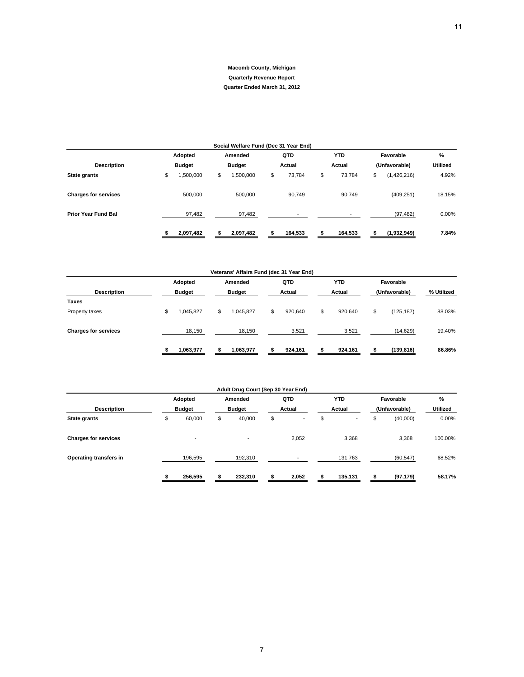## **Adopted Amended QTD YTD Favorable % Description Budget Budget Budget Actual Actual (Unfavorable) Utilized State grants** \$ 1,500,000 \$ 1,500,000 \$ 73,784 \$ (1,426,216) 73,784 \$ 4.92% **Charges for services** 500,000 500,000 500,000 90,749 90,749 (409,251) 18.15% **Prior Year Fund Bal** 1 1 2 37,482 2 97,482 2 97,482 2 1 1 2 97,482 9 200% **\$ 2,097,482 \$ 2,097,482 \$ 164,533 \$ 164,533 \$ (1,932,949) 7.84% Social Welfare Fund (Dec 31 Year End)**

| Veterans' Affairs Fund (dec 31 Year End) |    |               |    |           |    |         |    |            |           |               |            |  |
|------------------------------------------|----|---------------|----|-----------|----|---------|----|------------|-----------|---------------|------------|--|
|                                          |    | Adopted       |    | Amended   |    | QTD     |    | <b>YTD</b> | Favorable |               |            |  |
| <b>Description</b>                       |    | <b>Budget</b> |    | Budget    |    | Actual  |    | Actual     |           | (Unfavorable) | % Utilized |  |
| Taxes                                    |    |               |    |           |    |         |    |            |           |               |            |  |
| Property taxes                           | \$ | 1,045,827     | \$ | 1,045,827 | \$ | 920.640 | \$ | 920,640    | \$        | (125, 187)    | 88.03%     |  |
| <b>Charges for services</b>              |    | 18,150        |    | 18,150    |    | 3,521   |    | 3,521      |           | (14, 629)     | 19.40%     |  |
|                                          |    | 1,063,977     |    | 1,063,977 |    | 924,161 |    | 924,161    |           | (139, 816)    | 86.86%     |  |

| Adult Drug Court (Sep 30 Year End) |    |                          |    |                          |    |                          |    |                          |    |               |                 |  |
|------------------------------------|----|--------------------------|----|--------------------------|----|--------------------------|----|--------------------------|----|---------------|-----------------|--|
|                                    |    | Adopted                  |    | Amended                  |    | QTD                      |    | <b>YTD</b>               |    | Favorable     | $\%$            |  |
| <b>Description</b><br>State grants |    | <b>Budget</b>            |    | <b>Budget</b>            |    | Actual                   |    | Actual                   |    | (Unfavorable) | <b>Utilized</b> |  |
|                                    | \$ | 60,000                   | \$ | 40,000                   | \$ | $\overline{\phantom{a}}$ | \$ | $\overline{\phantom{a}}$ | \$ | (40,000)      | 0.00%           |  |
| <b>Charges for services</b>        |    | $\overline{\phantom{a}}$ |    | $\overline{\phantom{a}}$ |    | 2,052                    |    | 3,368                    |    | 3,368         | 100.00%         |  |
| Operating transfers in             |    | 196,595                  |    | 192,310                  |    |                          |    | 131,763                  |    | (60, 547)     | 68.52%          |  |
|                                    |    | 256,595                  |    | 232,310                  | \$ | 2,052                    |    | 135,131                  |    | (97, 179)     | 58.17%          |  |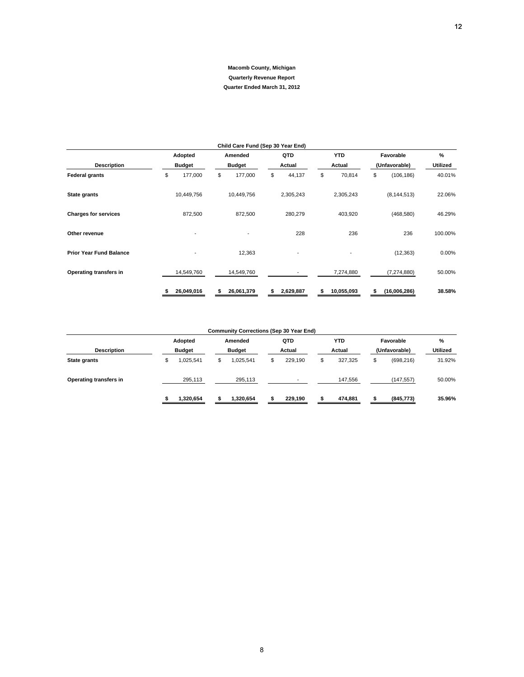| Child Care Fund (Sep 30 Year End) |                |                 |                          |                 |                   |                 |  |  |  |  |  |  |
|-----------------------------------|----------------|-----------------|--------------------------|-----------------|-------------------|-----------------|--|--|--|--|--|--|
|                                   | Adopted        | Amended         | QTD                      | <b>YTD</b>      | Favorable         | $\frac{9}{6}$   |  |  |  |  |  |  |
| <b>Description</b>                | <b>Budget</b>  | <b>Budget</b>   | Actual                   | Actual          | (Unfavorable)     | <b>Utilized</b> |  |  |  |  |  |  |
| <b>Federal grants</b>             | \$<br>177,000  | \$<br>177,000   | \$<br>44,137             | \$<br>70,814    | \$<br>(106, 186)  | 40.01%          |  |  |  |  |  |  |
| State grants                      | 10,449,756     | 10,449,756      | 2,305,243                | 2,305,243       | (8, 144, 513)     | 22.06%          |  |  |  |  |  |  |
| <b>Charges for services</b>       | 872,500        | 872,500         | 280,279                  | 403,920         | (468, 580)        | 46.29%          |  |  |  |  |  |  |
| Other revenue                     |                | $\blacksquare$  | 228                      | 236             | 236               | 100.00%         |  |  |  |  |  |  |
| <b>Prior Year Fund Balance</b>    | $\overline{a}$ | 12,363          | $\overline{\phantom{a}}$ | $\blacksquare$  | (12, 363)         | 0.00%           |  |  |  |  |  |  |
| Operating transfers in            | 14,549,760     | 14,549,760      |                          | 7,274,880       | (7, 274, 880)     | 50.00%          |  |  |  |  |  |  |
|                                   | 26,049,016     | 26,061,379<br>S | 2,629,887<br>s           | 10,055,093<br>S | (16,006,286)<br>S | 38.58%          |  |  |  |  |  |  |

#### **Community Corrections (Sep 30 Year End)**

|                        |    | Adopted<br><b>Budget</b> |  | Amended<br><b>Budget</b> |  | QTD<br>Actual |  | YTD<br>Actual |  | Favorable     | %<br><b>Utilized</b> |
|------------------------|----|--------------------------|--|--------------------------|--|---------------|--|---------------|--|---------------|----------------------|
| <b>Description</b>     |    |                          |  |                          |  |               |  |               |  | (Unfavorable) |                      |
| <b>State grants</b>    | \$ | 1.025.541                |  | 025.541                  |  | 229.190       |  | 327.325       |  | (698, 216)    | 31.92%               |
| Operating transfers in |    | 295.113                  |  | 295.113                  |  | -             |  | 147.556       |  | (147, 557)    | 50.00%               |
|                        |    | 1,320,654                |  | 1.320.654                |  | 229.190       |  | 474,881       |  | (845, 773)    | 35.96%               |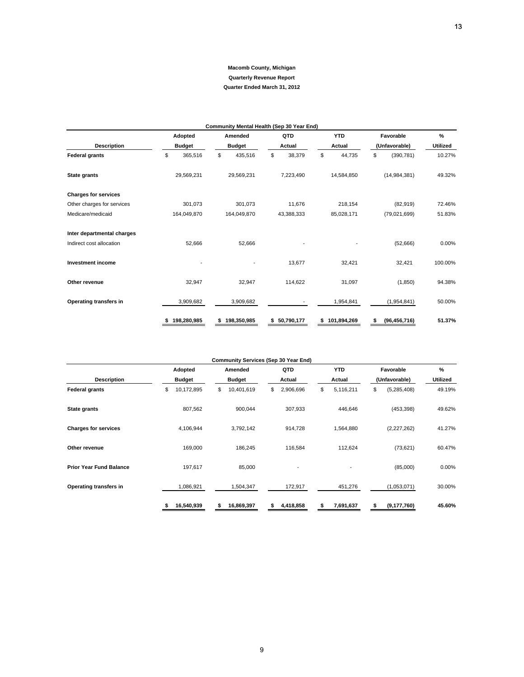| Community Mental Health (Sep 30 Year End) |                   |         |    |               |    |              |    |               |                  |                |                 |  |
|-------------------------------------------|-------------------|---------|----|---------------|----|--------------|----|---------------|------------------|----------------|-----------------|--|
|                                           | Adopted           |         |    | Amended       |    | QTD          |    | <b>YTD</b>    |                  | Favorable      | %               |  |
| <b>Description</b>                        | <b>Budget</b>     |         |    | <b>Budget</b> |    | Actual       |    | Actual        |                  | (Unfavorable)  | <b>Utilized</b> |  |
| <b>Federal grants</b>                     | \$                | 365,516 | \$ | 435,516       | \$ | 38,379       | \$ | 44,735        | \$<br>(390, 781) |                | 10.27%          |  |
| <b>State grants</b>                       | 29,569,231        |         |    | 29,569,231    |    | 7,223,490    |    | 14,584,850    |                  | (14, 984, 381) | 49.32%          |  |
| <b>Charges for services</b>               |                   |         |    |               |    |              |    |               |                  |                |                 |  |
| Other charges for services                |                   | 301,073 |    | 301,073       |    | 11,676       |    | 218,154       |                  | (82, 919)      | 72.46%          |  |
| Medicare/medicaid                         | 164,049,870       |         |    | 164,049,870   |    | 43,388,333   |    | 85,028,171    |                  | (79,021,699)   | 51.83%          |  |
| Inter departmental charges                |                   |         |    |               |    |              |    |               |                  |                |                 |  |
| Indirect cost allocation                  |                   | 52,666  |    | 52,666        |    |              |    |               |                  | (52,666)       | 0.00%           |  |
| <b>Investment income</b>                  |                   |         |    |               |    | 13,677       |    | 32,421        |                  | 32,421         | 100.00%         |  |
| Other revenue                             |                   | 32,947  |    | 32,947        |    | 114,622      |    | 31,097        |                  | (1, 850)       | 94.38%          |  |
| Operating transfers in                    | 3,909,682         |         |    | 3,909,682     |    |              |    | 1,954,841     |                  | (1,954,841)    | 50.00%          |  |
|                                           | 198,280,985<br>\$ |         | \$ | 198,350,985   |    | \$50,790,177 |    | \$101,894,269 | \$               | (96, 456, 716) | 51.37%          |  |

| <b>Community Services (Sep 30 Year End)</b> |                  |                  |                 |                 |                    |          |  |  |  |  |  |  |
|---------------------------------------------|------------------|------------------|-----------------|-----------------|--------------------|----------|--|--|--|--|--|--|
|                                             | Adopted          | Amended          | QTD             | <b>YTD</b>      | Favorable          | $\%$     |  |  |  |  |  |  |
| <b>Description</b>                          | <b>Budget</b>    | <b>Budget</b>    | Actual          | Actual          | (Unfavorable)      | Utilized |  |  |  |  |  |  |
| <b>Federal grants</b>                       | \$<br>10,172,895 | 10,401,619<br>\$ | 2,906,696<br>\$ | 5,116,211<br>\$ | \$<br>(5,285,408)  | 49.19%   |  |  |  |  |  |  |
| State grants                                | 807,562          | 900,044          | 307,933         | 446,646         | (453, 398)         | 49.62%   |  |  |  |  |  |  |
| <b>Charges for services</b>                 | 4,106,944        | 3,792,142        | 914,728         | 1,564,880       | (2,227,262)        | 41.27%   |  |  |  |  |  |  |
| Other revenue                               | 169,000          | 186,245          | 116,584         | 112,624         | (73, 621)          | 60.47%   |  |  |  |  |  |  |
| <b>Prior Year Fund Balance</b>              | 197,617          | 85,000           |                 | $\blacksquare$  | (85,000)           | 0.00%    |  |  |  |  |  |  |
| Operating transfers in                      | 1,086,921        | 1,504,347        | 172,917         | 451,276         | (1,053,071)        | 30.00%   |  |  |  |  |  |  |
|                                             | 16,540,939       | 16,869,397<br>S  | 4,418,858<br>S  | 7,691,637<br>s  | (9, 177, 760)<br>S | 45.60%   |  |  |  |  |  |  |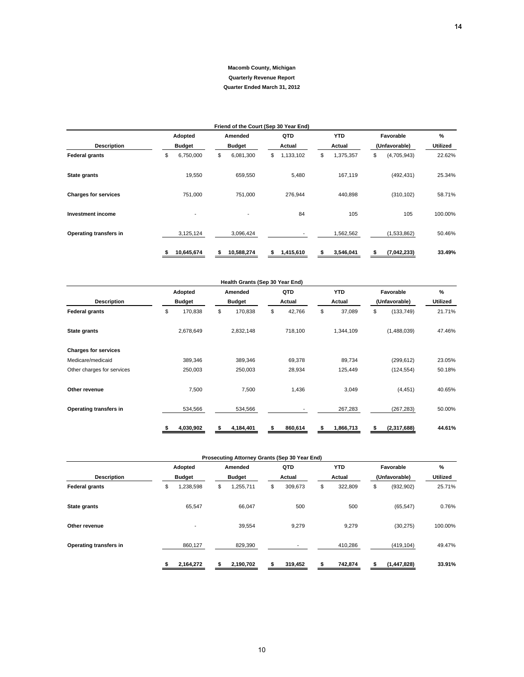|                             | Friend of the Court (Sep 30 Year End) |               |               |            |    |           |    |            |    |               |          |  |  |  |
|-----------------------------|---------------------------------------|---------------|---------------|------------|----|-----------|----|------------|----|---------------|----------|--|--|--|
|                             |                                       | Adopted       |               | Amended    |    | QTD       |    | <b>YTD</b> |    | Favorable     | %        |  |  |  |
| <b>Description</b>          |                                       | <b>Budget</b> | <b>Budget</b> |            |    | Actual    |    | Actual     |    | (Unfavorable) | Utilized |  |  |  |
| <b>Federal grants</b>       | \$                                    | 6,750,000     | \$            | 6,081,300  | \$ | 1,133,102 | \$ | 1,375,357  | \$ | (4,705,943)   | 22.62%   |  |  |  |
| State grants                |                                       | 19,550        |               | 659,550    |    | 5,480     |    | 167,119    |    | (492, 431)    | 25.34%   |  |  |  |
| <b>Charges for services</b> |                                       | 751,000       |               | 751,000    |    | 276,944   |    | 440,898    |    | (310, 102)    | 58.71%   |  |  |  |
| <b>Investment income</b>    |                                       | -             |               |            |    | 84        |    | 105        |    | 105           | 100.00%  |  |  |  |
| Operating transfers in      |                                       | 3,125,124     |               | 3,096,424  |    |           |    | 1,562,562  |    | (1,533,862)   | 50.46%   |  |  |  |
|                             |                                       | 10,645,674    | S             | 10,588,274 | \$ | 1,415,610 |    | 3,546,041  |    | (7,042,233)   | 33.49%   |  |  |  |

|                                                 |                                | <b>Macomb County, Michigan</b>                                  |                        |                        |                                   |                    |
|-------------------------------------------------|--------------------------------|-----------------------------------------------------------------|------------------------|------------------------|-----------------------------------|--------------------|
|                                                 |                                | <b>Quarterly Revenue Report</b><br>Quarter Ended March 31, 2012 |                        |                        |                                   |                    |
|                                                 |                                |                                                                 |                        |                        |                                   |                    |
|                                                 |                                |                                                                 |                        |                        |                                   |                    |
|                                                 | Adopted                        | Friend of the Court (Sep 30 Year End)<br>Amended                | QTD                    | <b>YTD</b>             | Favorable                         | %                  |
| <b>Description</b>                              | <b>Budget</b>                  | <b>Budget</b>                                                   | Actual                 | Actual                 | (Unfavorable)                     | Utilized           |
| <b>Federal grants</b>                           | \$<br>6,750,000                | \$<br>6,081,300                                                 | \$<br>1,133,102        | \$<br>1,375,357        | \$<br>(4,705,943)                 | 22.62%             |
| <b>State grants</b>                             | 19,550                         | 659,550                                                         | 5,480                  | 167,119                | (492, 431)                        | 25.34%             |
| <b>Charges for services</b>                     | 751,000                        | 751,000                                                         | 276,944                | 440,898                | (310, 102)                        | 58.71%             |
|                                                 |                                |                                                                 |                        |                        |                                   |                    |
| <b>Investment income</b>                        |                                |                                                                 | 84                     | 105                    | 105                               | 100.00%            |
| Operating transfers in                          | 3,125,124                      | 3,096,424                                                       |                        | 1,562,562              | (1,533,862)                       | 50.46%             |
|                                                 | 10,645,674<br>\$               | \$<br>10,588,274                                                | 1,415,610<br>\$        | \$<br>3,546,041        | \$<br>(7,042,233)                 | 33.49%             |
|                                                 |                                | Health Grants (Sep 30 Year End)                                 |                        |                        |                                   |                    |
|                                                 | Adopted                        | Amended                                                         | QTD                    | <b>YTD</b>             | Favorable                         | $\%$               |
| <b>Description</b><br><b>Federal grants</b>     | <b>Budget</b><br>\$<br>170,838 | <b>Budget</b><br>\$<br>170,838                                  | Actual<br>\$<br>42,766 | Actual<br>\$<br>37,089 | (Unfavorable)<br>\$<br>(133, 749) | Utilized<br>21.71% |
|                                                 |                                |                                                                 |                        |                        |                                   |                    |
| State grants                                    | 2,678,649                      | 2,832,148                                                       | 718,100                | 1,344,109              | (1,488,039)                       | 47.46%             |
| <b>Charges for services</b>                     |                                |                                                                 |                        |                        |                                   |                    |
| Medicare/medicaid<br>Other charges for services | 389,346<br>250,003             | 389,346<br>250,003                                              | 69,378<br>28,934       | 89,734<br>125,449      | (299, 612)<br>(124, 554)          | 23.05%<br>50.18%   |
|                                                 |                                |                                                                 |                        |                        |                                   |                    |
| Other revenue                                   | 7,500                          | 7,500                                                           | 1,436                  | 3,049                  | (4, 451)                          | 40.65%             |
| Operating transfers in                          | 534,566                        | 534,566                                                         |                        | 267,283                | (267, 283)                        | 50.00%             |
|                                                 | 4,030,902<br>\$                | 4,184,401<br>s                                                  | \$<br>860,614          | \$<br>1,866,713        | \$<br>(2,317,688)                 | 44.61%             |
|                                                 |                                |                                                                 |                        |                        |                                   |                    |
|                                                 | Adopted                        | Prosecuting Attorney Grants (Sep 30 Year End)<br>Amended        | QTD                    | <b>YTD</b>             | Favorable                         | $\%$               |
| <b>Description</b>                              | <b>Budget</b>                  | <b>Budget</b>                                                   | Actual                 | Actual                 | (Unfavorable)                     | Utilized           |
| <b>Federal grants</b>                           | \$<br>1,238,598                | \$<br>1,255,711                                                 | \$<br>309,673          | \$<br>322,809          | \$<br>(932, 902)                  | 25.71%             |
| State grants                                    | 65,547                         | 66,047                                                          | 500                    | 500                    | (65, 547)                         | 0.76%              |
| Other revenue                                   |                                | 39,554                                                          | 9,279                  | 9,279                  | (30, 275)                         | 100.00%            |
| Operating transfers in                          | 860,127                        | 829,390                                                         |                        | 410,286                | (419, 104)                        | 49.47%             |
|                                                 | 2,164,272<br>\$                | 2,190,702<br>\$                                                 | 319,452<br>\$          | 742,874<br>\$          | (1, 447, 828)<br>\$               | 33.91%             |
|                                                 |                                |                                                                 |                        |                        |                                   |                    |

|                        |                 | Prosecuting Attorney Grants (Sep 30 Year End) |               |               |                  |                 |
|------------------------|-----------------|-----------------------------------------------|---------------|---------------|------------------|-----------------|
|                        | Adopted         | Amended                                       | QTD           | <b>YTD</b>    | Favorable        |                 |
| <b>Description</b>     | <b>Budget</b>   | <b>Budget</b>                                 | Actual        | Actual        | (Unfavorable)    | <b>Utilized</b> |
| <b>Federal grants</b>  | \$<br>1,238,598 | 1,255,711<br>\$                               | \$<br>309,673 | 322,809<br>\$ | (932, 902)<br>\$ | 25.71%          |
| <b>State grants</b>    | 65.547          | 66.047                                        | 500           | 500           | (65, 547)        | 0.76%           |
| Other revenue          | $\blacksquare$  | 39,554                                        | 9,279         | 9,279         | (30, 275)        | 100.00%         |
| Operating transfers in | 860,127         | 829,390                                       |               | 410,286       | (419, 104)       | 49.47%          |
|                        | 2,164,272       | 2,190,702                                     | 319,452       | 742,874       | (1, 447, 828)    | 33.91%          |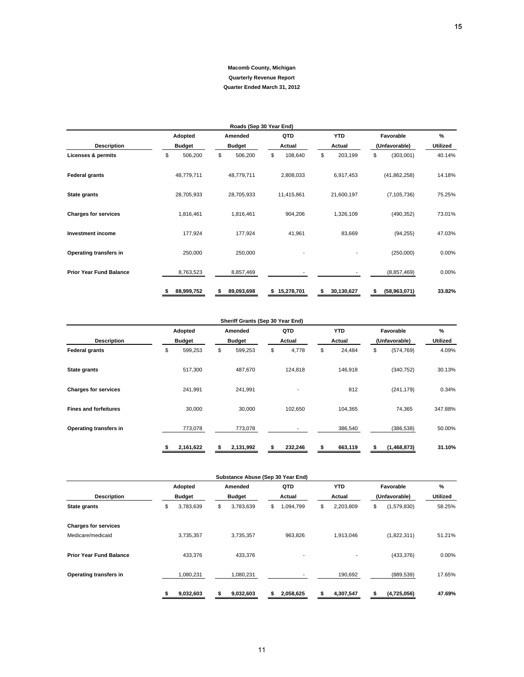|                                |                 | <b>Macomb County, Michigan</b><br><b>Quarterly Revenue Report</b> |                 |                  |                    |                 |
|--------------------------------|-----------------|-------------------------------------------------------------------|-----------------|------------------|--------------------|-----------------|
|                                |                 | Quarter Ended March 31, 2012                                      |                 |                  |                    |                 |
|                                |                 | Roads (Sep 30 Year End)                                           |                 |                  |                    |                 |
|                                | Adopted         | Amended                                                           | QTD             | <b>YTD</b>       | Favorable          | %               |
| <b>Description</b>             | <b>Budget</b>   | <b>Budget</b>                                                     | Actual          | Actual           | (Unfavorable)      | <b>Utilized</b> |
| <b>Licenses &amp; permits</b>  | \$<br>506,200   | \$<br>506,200                                                     | \$<br>108,640   | \$<br>203,199    | \$<br>(303,001)    | 40.14%          |
| <b>Federal grants</b>          | 48,779,711      | 48,779,711                                                        | 2,808,033       | 6,917,453        | (41, 862, 258)     | 14.18%          |
| <b>State grants</b>            | 28,705,933      | 28,705,933                                                        | 11,415,861      | 21,600,197       | (7, 105, 736)      | 75.25%          |
| <b>Charges for services</b>    | 1,816,461       | 1,816,461                                                         | 904,206         | 1,326,109        | (490, 352)         | 73.01%          |
| <b>Investment income</b>       | 177,924         | 177,924                                                           | 41,961          | 83,669           | (94, 255)          | 47.03%          |
| Operating transfers in         | 250,000         | 250,000                                                           |                 |                  | (250,000)          | 0.00%           |
| <b>Prior Year Fund Balance</b> | 8,763,523       | 8,857,469                                                         |                 |                  | (8,857,469)        | 0.00%           |
|                                | 88,999,752<br>s | 89,093,698<br>\$                                                  | \$15,278,701    | 30,130,627<br>\$ | (58,963,071)<br>\$ | 33.82%          |
|                                |                 |                                                                   |                 |                  |                    |                 |
|                                | Adopted         | Sheriff Grants (Sep 30 Year End)<br>Amended                       | QTD             | <b>YTD</b>       | Favorable          | %               |
| <b>Description</b>             | <b>Budget</b>   | <b>Budget</b>                                                     | Actual          | Actual           | (Unfavorable)      | <b>Utilized</b> |
| <b>Federal grants</b>          | \$<br>599,253   | \$<br>599,253                                                     | \$<br>4,778     | \$<br>24,484     | \$<br>(574, 769)   | 4.09%           |
| <b>State grants</b>            | 517,300         | 487,670                                                           | 124,818         | 146,918          | (340, 752)         | 30.13%          |
| <b>Charges for services</b>    | 241,991         | 241,991                                                           |                 | 812              | (241, 179)         | 0.34%           |
| <b>Fines and forfeitures</b>   | 30,000          | 30,000                                                            | 102,650         | 104,365          | 74,365             | 347.88%         |
| Operating transfers in         | 773,078         | 773,078                                                           |                 | 386,540          | (386, 538)         | 50.00%          |
|                                | 2,161,622<br>\$ | 2,131,992<br>\$                                                   | \$<br>232,246   | \$<br>663,119    | \$<br>(1,468,873)  | 31.10%          |
|                                |                 |                                                                   |                 |                  |                    |                 |
|                                | Adopted         | Substance Abuse (Sep 30 Year End)<br>Amended                      | QTD             | <b>YTD</b>       | Favorable          | $\%$            |
| Description                    | <b>Budget</b>   | <b>Budget</b>                                                     | Actual          | Actual           | (Unfavorable)      | Utilized        |
| <b>State grants</b>            | \$<br>3,783,639 | \$<br>3,783,639                                                   | \$<br>1,094,799 | \$<br>2,203,809  | \$<br>(1,579,830)  | 58.25%          |
| <b>Charges for services</b>    |                 |                                                                   |                 |                  |                    |                 |
| Medicare/medicaid              | 3,735,357       | 3,735,357                                                         | 963,826         | 1,913,046        | (1,822,311)        | 51.21%          |
| <b>Prior Year Fund Balance</b> | 433,376         | 433,376                                                           |                 |                  | (433, 376)         | 0.00%           |
| Operating transfers in         | 1,080,231       | 1,080,231                                                         |                 | 190,692          | (889, 539)         | 17.65%          |
|                                | 9,032,603<br>\$ | 9,032,603<br>\$                                                   | 2,058,625<br>\$ | 4,307,547<br>\$  | (4,725,056)<br>\$  | 47.69%          |
|                                |                 |                                                                   |                 |                  |                    |                 |

|                              |               |    | Sheriff Grants (Sep 30 Year End) |    |                          |              |               |             |                 |
|------------------------------|---------------|----|----------------------------------|----|--------------------------|--------------|---------------|-------------|-----------------|
|                              | Adopted       |    | Amended                          |    | QTD                      | <b>YTD</b>   |               | Favorable   | $\%$            |
| <b>Description</b>           | <b>Budget</b> |    | <b>Budget</b>                    |    | Actual                   | Actual       | (Unfavorable) |             | <b>Utilized</b> |
| <b>Federal grants</b>        | \$<br>599,253 | \$ | 599,253                          | \$ | 4,778                    | \$<br>24,484 | \$            | (574, 769)  | 4.09%           |
| State grants                 | 517,300       |    | 487,670                          |    | 124,818                  | 146,918      |               | (340, 752)  | 30.13%          |
| <b>Charges for services</b>  | 241,991       |    | 241,991                          |    | $\overline{\phantom{a}}$ | 812          |               | (241, 179)  | 0.34%           |
| <b>Fines and forfeitures</b> | 30,000        |    | 30,000                           |    | 102,650                  | 104,365      |               | 74,365      | 347.88%         |
| Operating transfers in       | 773,078       |    | 773,078                          |    |                          | 386,540      |               | (386, 538)  | 50.00%          |
|                              | 2,161,622     |    | 2,131,992                        |    | 232,246                  | 663,119      |               | (1,468,873) | 31.10%          |

|                                |               |           |               | Substance Abuse (Sep 30 Year End) |        |           |            |           |               |             |                 |
|--------------------------------|---------------|-----------|---------------|-----------------------------------|--------|-----------|------------|-----------|---------------|-------------|-----------------|
|                                |               | Adopted   |               | Amended                           |        | QTD       | <b>YTD</b> |           |               | Favorable   | $\frac{9}{6}$   |
| <b>Description</b>             | <b>Budget</b> |           | <b>Budget</b> |                                   | Actual |           | Actual     |           | (Unfavorable) |             | <b>Utilized</b> |
| <b>State grants</b>            | \$            | 3,783,639 | \$            | 3,783,639                         | \$     | 1,094,799 | \$         | 2,203,809 | \$            | (1,579,830) | 58.25%          |
| <b>Charges for services</b>    |               |           |               |                                   |        |           |            |           |               |             |                 |
| Medicare/medicaid              |               | 3,735,357 |               | 3,735,357                         |        | 963,826   |            | 1,913,046 |               | (1,822,311) | 51.21%          |
| <b>Prior Year Fund Balance</b> |               | 433.376   |               | 433,376                           |        | ٠         |            |           |               | (433, 376)  | 0.00%           |
| Operating transfers in         |               | 1,080,231 |               | 1,080,231                         |        |           |            | 190,692   |               | (889, 539)  | 17.65%          |
|                                |               | 9,032,603 |               | 9,032,603                         | s      | 2,058,625 | s          | 4,307,547 |               | (4,725,056) | 47.69%          |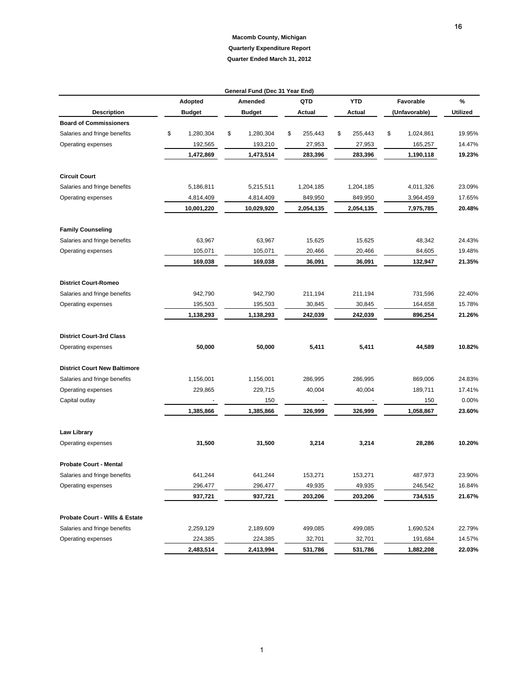| QTD<br><b>YTD</b><br>%<br>Adopted<br>Amended<br>Favorable<br><b>Description</b><br>Utilized<br>Budget<br><b>Budget</b><br>Actual<br>Actual<br>(Unfavorable)<br><b>Board of Commissioners</b><br>Salaries and fringe benefits<br>\$<br>1,280,304<br>\$<br>1,280,304<br>\$<br>\$<br>\$<br>1,024,861<br>19.95%<br>255,443<br>255,443<br>14.47%<br>Operating expenses<br>192,565<br>193,210<br>27,953<br>27,953<br>165,257<br>1,472,869<br>1,473,514<br>283,396<br>283,396<br>1,190,118<br>19.23%<br><b>Circuit Court</b><br>Salaries and fringe benefits<br>5,215,511<br>4,011,326<br>23.09%<br>5,186,811<br>1,204,185<br>1,204,185<br>849,950<br>17.65%<br>Operating expenses<br>4,814,409<br>4,814,409<br>849,950<br>3,964,459<br>10,001,220<br>10,029,920<br>2,054,135<br>2,054,135<br>7,975,785<br>20.48%<br><b>Family Counseling</b><br>Salaries and fringe benefits<br>63,967<br>15,625<br>48,342<br>63,967<br>15,625<br>24.43%<br>20,466<br>19.48%<br>Operating expenses<br>105,071<br>105,071<br>20,466<br>84,605<br>169,038<br>169,038<br>36,091<br>36,091<br>132,947<br>21.35%<br><b>District Court-Romeo</b><br>Salaries and fringe benefits<br>942,790<br>731,596<br>22.40%<br>942,790<br>211,194<br>211,194<br>195,503<br>195,503<br>164,658<br>15.78%<br>Operating expenses<br>30,845<br>30,845<br>1,138,293<br>1,138,293<br>242,039<br>242,039<br>896,254<br>21.26%<br><b>District Court-3rd Class</b><br>50,000<br>50,000<br>5,411<br>5,411<br>10.82%<br>Operating expenses<br>44,589<br><b>District Court New Baltimore</b><br>Salaries and fringe benefits<br>1,156,001<br>1,156,001<br>286,995<br>286,995<br>869,006<br>24.83%<br>Operating expenses<br>40,004<br>40,004<br>189,711<br>17.41%<br>229,865<br>229,715<br>150<br>0.00%<br>Capital outlay<br>150<br>1,385,866<br>1,385,866<br>1,058,867<br>23.60%<br>326,999<br>326,999<br><b>Law Library</b><br>10.20%<br>31,500<br>31,500<br>3,214<br>3,214<br>28,286<br>Operating expenses<br><b>Probate Court - Mental</b><br>23.90%<br>641,244<br>641,244<br>Salaries and fringe benefits<br>153,271<br>153,271<br>487,973<br>296,477<br>296,477<br>49,935<br>49,935<br>246,542<br>16.84%<br>Operating expenses<br>937,721<br>203,206<br>203,206<br>21.67%<br>937,721<br>734,515<br>Probate Court - Wills & Estate<br>Salaries and fringe benefits<br>2,259,129<br>2,189,609<br>499,085<br>499,085<br>1,690,524<br>22.79%<br>32,701<br>14.57%<br>Operating expenses<br>224,385<br>224,385<br>32,701<br>191,684<br>22.03%<br>2,483,514<br>2,413,994<br>531,786<br>531,786<br>1,882,208 |  | General Fund (Dec 31 Year End) |  |  |
|--------------------------------------------------------------------------------------------------------------------------------------------------------------------------------------------------------------------------------------------------------------------------------------------------------------------------------------------------------------------------------------------------------------------------------------------------------------------------------------------------------------------------------------------------------------------------------------------------------------------------------------------------------------------------------------------------------------------------------------------------------------------------------------------------------------------------------------------------------------------------------------------------------------------------------------------------------------------------------------------------------------------------------------------------------------------------------------------------------------------------------------------------------------------------------------------------------------------------------------------------------------------------------------------------------------------------------------------------------------------------------------------------------------------------------------------------------------------------------------------------------------------------------------------------------------------------------------------------------------------------------------------------------------------------------------------------------------------------------------------------------------------------------------------------------------------------------------------------------------------------------------------------------------------------------------------------------------------------------------------------------------------------------------------------------------------------------------------------------------------------------------------------------------------------------------------------------------------------------------------------------------------------------------------------------------------------------------------------------------------------------------------------------------------------------------------------------------------------------------------------------------------------------------------------------|--|--------------------------------|--|--|
|                                                                                                                                                                                                                                                                                                                                                                                                                                                                                                                                                                                                                                                                                                                                                                                                                                                                                                                                                                                                                                                                                                                                                                                                                                                                                                                                                                                                                                                                                                                                                                                                                                                                                                                                                                                                                                                                                                                                                                                                                                                                                                                                                                                                                                                                                                                                                                                                                                                                                                                                                        |  |                                |  |  |
|                                                                                                                                                                                                                                                                                                                                                                                                                                                                                                                                                                                                                                                                                                                                                                                                                                                                                                                                                                                                                                                                                                                                                                                                                                                                                                                                                                                                                                                                                                                                                                                                                                                                                                                                                                                                                                                                                                                                                                                                                                                                                                                                                                                                                                                                                                                                                                                                                                                                                                                                                        |  |                                |  |  |
|                                                                                                                                                                                                                                                                                                                                                                                                                                                                                                                                                                                                                                                                                                                                                                                                                                                                                                                                                                                                                                                                                                                                                                                                                                                                                                                                                                                                                                                                                                                                                                                                                                                                                                                                                                                                                                                                                                                                                                                                                                                                                                                                                                                                                                                                                                                                                                                                                                                                                                                                                        |  |                                |  |  |
|                                                                                                                                                                                                                                                                                                                                                                                                                                                                                                                                                                                                                                                                                                                                                                                                                                                                                                                                                                                                                                                                                                                                                                                                                                                                                                                                                                                                                                                                                                                                                                                                                                                                                                                                                                                                                                                                                                                                                                                                                                                                                                                                                                                                                                                                                                                                                                                                                                                                                                                                                        |  |                                |  |  |
|                                                                                                                                                                                                                                                                                                                                                                                                                                                                                                                                                                                                                                                                                                                                                                                                                                                                                                                                                                                                                                                                                                                                                                                                                                                                                                                                                                                                                                                                                                                                                                                                                                                                                                                                                                                                                                                                                                                                                                                                                                                                                                                                                                                                                                                                                                                                                                                                                                                                                                                                                        |  |                                |  |  |
|                                                                                                                                                                                                                                                                                                                                                                                                                                                                                                                                                                                                                                                                                                                                                                                                                                                                                                                                                                                                                                                                                                                                                                                                                                                                                                                                                                                                                                                                                                                                                                                                                                                                                                                                                                                                                                                                                                                                                                                                                                                                                                                                                                                                                                                                                                                                                                                                                                                                                                                                                        |  |                                |  |  |
|                                                                                                                                                                                                                                                                                                                                                                                                                                                                                                                                                                                                                                                                                                                                                                                                                                                                                                                                                                                                                                                                                                                                                                                                                                                                                                                                                                                                                                                                                                                                                                                                                                                                                                                                                                                                                                                                                                                                                                                                                                                                                                                                                                                                                                                                                                                                                                                                                                                                                                                                                        |  |                                |  |  |
|                                                                                                                                                                                                                                                                                                                                                                                                                                                                                                                                                                                                                                                                                                                                                                                                                                                                                                                                                                                                                                                                                                                                                                                                                                                                                                                                                                                                                                                                                                                                                                                                                                                                                                                                                                                                                                                                                                                                                                                                                                                                                                                                                                                                                                                                                                                                                                                                                                                                                                                                                        |  |                                |  |  |
|                                                                                                                                                                                                                                                                                                                                                                                                                                                                                                                                                                                                                                                                                                                                                                                                                                                                                                                                                                                                                                                                                                                                                                                                                                                                                                                                                                                                                                                                                                                                                                                                                                                                                                                                                                                                                                                                                                                                                                                                                                                                                                                                                                                                                                                                                                                                                                                                                                                                                                                                                        |  |                                |  |  |
|                                                                                                                                                                                                                                                                                                                                                                                                                                                                                                                                                                                                                                                                                                                                                                                                                                                                                                                                                                                                                                                                                                                                                                                                                                                                                                                                                                                                                                                                                                                                                                                                                                                                                                                                                                                                                                                                                                                                                                                                                                                                                                                                                                                                                                                                                                                                                                                                                                                                                                                                                        |  |                                |  |  |
|                                                                                                                                                                                                                                                                                                                                                                                                                                                                                                                                                                                                                                                                                                                                                                                                                                                                                                                                                                                                                                                                                                                                                                                                                                                                                                                                                                                                                                                                                                                                                                                                                                                                                                                                                                                                                                                                                                                                                                                                                                                                                                                                                                                                                                                                                                                                                                                                                                                                                                                                                        |  |                                |  |  |
|                                                                                                                                                                                                                                                                                                                                                                                                                                                                                                                                                                                                                                                                                                                                                                                                                                                                                                                                                                                                                                                                                                                                                                                                                                                                                                                                                                                                                                                                                                                                                                                                                                                                                                                                                                                                                                                                                                                                                                                                                                                                                                                                                                                                                                                                                                                                                                                                                                                                                                                                                        |  |                                |  |  |
|                                                                                                                                                                                                                                                                                                                                                                                                                                                                                                                                                                                                                                                                                                                                                                                                                                                                                                                                                                                                                                                                                                                                                                                                                                                                                                                                                                                                                                                                                                                                                                                                                                                                                                                                                                                                                                                                                                                                                                                                                                                                                                                                                                                                                                                                                                                                                                                                                                                                                                                                                        |  |                                |  |  |
|                                                                                                                                                                                                                                                                                                                                                                                                                                                                                                                                                                                                                                                                                                                                                                                                                                                                                                                                                                                                                                                                                                                                                                                                                                                                                                                                                                                                                                                                                                                                                                                                                                                                                                                                                                                                                                                                                                                                                                                                                                                                                                                                                                                                                                                                                                                                                                                                                                                                                                                                                        |  |                                |  |  |
|                                                                                                                                                                                                                                                                                                                                                                                                                                                                                                                                                                                                                                                                                                                                                                                                                                                                                                                                                                                                                                                                                                                                                                                                                                                                                                                                                                                                                                                                                                                                                                                                                                                                                                                                                                                                                                                                                                                                                                                                                                                                                                                                                                                                                                                                                                                                                                                                                                                                                                                                                        |  |                                |  |  |
|                                                                                                                                                                                                                                                                                                                                                                                                                                                                                                                                                                                                                                                                                                                                                                                                                                                                                                                                                                                                                                                                                                                                                                                                                                                                                                                                                                                                                                                                                                                                                                                                                                                                                                                                                                                                                                                                                                                                                                                                                                                                                                                                                                                                                                                                                                                                                                                                                                                                                                                                                        |  |                                |  |  |
|                                                                                                                                                                                                                                                                                                                                                                                                                                                                                                                                                                                                                                                                                                                                                                                                                                                                                                                                                                                                                                                                                                                                                                                                                                                                                                                                                                                                                                                                                                                                                                                                                                                                                                                                                                                                                                                                                                                                                                                                                                                                                                                                                                                                                                                                                                                                                                                                                                                                                                                                                        |  |                                |  |  |
|                                                                                                                                                                                                                                                                                                                                                                                                                                                                                                                                                                                                                                                                                                                                                                                                                                                                                                                                                                                                                                                                                                                                                                                                                                                                                                                                                                                                                                                                                                                                                                                                                                                                                                                                                                                                                                                                                                                                                                                                                                                                                                                                                                                                                                                                                                                                                                                                                                                                                                                                                        |  |                                |  |  |
|                                                                                                                                                                                                                                                                                                                                                                                                                                                                                                                                                                                                                                                                                                                                                                                                                                                                                                                                                                                                                                                                                                                                                                                                                                                                                                                                                                                                                                                                                                                                                                                                                                                                                                                                                                                                                                                                                                                                                                                                                                                                                                                                                                                                                                                                                                                                                                                                                                                                                                                                                        |  |                                |  |  |
|                                                                                                                                                                                                                                                                                                                                                                                                                                                                                                                                                                                                                                                                                                                                                                                                                                                                                                                                                                                                                                                                                                                                                                                                                                                                                                                                                                                                                                                                                                                                                                                                                                                                                                                                                                                                                                                                                                                                                                                                                                                                                                                                                                                                                                                                                                                                                                                                                                                                                                                                                        |  |                                |  |  |
|                                                                                                                                                                                                                                                                                                                                                                                                                                                                                                                                                                                                                                                                                                                                                                                                                                                                                                                                                                                                                                                                                                                                                                                                                                                                                                                                                                                                                                                                                                                                                                                                                                                                                                                                                                                                                                                                                                                                                                                                                                                                                                                                                                                                                                                                                                                                                                                                                                                                                                                                                        |  |                                |  |  |
|                                                                                                                                                                                                                                                                                                                                                                                                                                                                                                                                                                                                                                                                                                                                                                                                                                                                                                                                                                                                                                                                                                                                                                                                                                                                                                                                                                                                                                                                                                                                                                                                                                                                                                                                                                                                                                                                                                                                                                                                                                                                                                                                                                                                                                                                                                                                                                                                                                                                                                                                                        |  |                                |  |  |
|                                                                                                                                                                                                                                                                                                                                                                                                                                                                                                                                                                                                                                                                                                                                                                                                                                                                                                                                                                                                                                                                                                                                                                                                                                                                                                                                                                                                                                                                                                                                                                                                                                                                                                                                                                                                                                                                                                                                                                                                                                                                                                                                                                                                                                                                                                                                                                                                                                                                                                                                                        |  |                                |  |  |
|                                                                                                                                                                                                                                                                                                                                                                                                                                                                                                                                                                                                                                                                                                                                                                                                                                                                                                                                                                                                                                                                                                                                                                                                                                                                                                                                                                                                                                                                                                                                                                                                                                                                                                                                                                                                                                                                                                                                                                                                                                                                                                                                                                                                                                                                                                                                                                                                                                                                                                                                                        |  |                                |  |  |
|                                                                                                                                                                                                                                                                                                                                                                                                                                                                                                                                                                                                                                                                                                                                                                                                                                                                                                                                                                                                                                                                                                                                                                                                                                                                                                                                                                                                                                                                                                                                                                                                                                                                                                                                                                                                                                                                                                                                                                                                                                                                                                                                                                                                                                                                                                                                                                                                                                                                                                                                                        |  |                                |  |  |
|                                                                                                                                                                                                                                                                                                                                                                                                                                                                                                                                                                                                                                                                                                                                                                                                                                                                                                                                                                                                                                                                                                                                                                                                                                                                                                                                                                                                                                                                                                                                                                                                                                                                                                                                                                                                                                                                                                                                                                                                                                                                                                                                                                                                                                                                                                                                                                                                                                                                                                                                                        |  |                                |  |  |
|                                                                                                                                                                                                                                                                                                                                                                                                                                                                                                                                                                                                                                                                                                                                                                                                                                                                                                                                                                                                                                                                                                                                                                                                                                                                                                                                                                                                                                                                                                                                                                                                                                                                                                                                                                                                                                                                                                                                                                                                                                                                                                                                                                                                                                                                                                                                                                                                                                                                                                                                                        |  |                                |  |  |
|                                                                                                                                                                                                                                                                                                                                                                                                                                                                                                                                                                                                                                                                                                                                                                                                                                                                                                                                                                                                                                                                                                                                                                                                                                                                                                                                                                                                                                                                                                                                                                                                                                                                                                                                                                                                                                                                                                                                                                                                                                                                                                                                                                                                                                                                                                                                                                                                                                                                                                                                                        |  |                                |  |  |
|                                                                                                                                                                                                                                                                                                                                                                                                                                                                                                                                                                                                                                                                                                                                                                                                                                                                                                                                                                                                                                                                                                                                                                                                                                                                                                                                                                                                                                                                                                                                                                                                                                                                                                                                                                                                                                                                                                                                                                                                                                                                                                                                                                                                                                                                                                                                                                                                                                                                                                                                                        |  |                                |  |  |
|                                                                                                                                                                                                                                                                                                                                                                                                                                                                                                                                                                                                                                                                                                                                                                                                                                                                                                                                                                                                                                                                                                                                                                                                                                                                                                                                                                                                                                                                                                                                                                                                                                                                                                                                                                                                                                                                                                                                                                                                                                                                                                                                                                                                                                                                                                                                                                                                                                                                                                                                                        |  |                                |  |  |
|                                                                                                                                                                                                                                                                                                                                                                                                                                                                                                                                                                                                                                                                                                                                                                                                                                                                                                                                                                                                                                                                                                                                                                                                                                                                                                                                                                                                                                                                                                                                                                                                                                                                                                                                                                                                                                                                                                                                                                                                                                                                                                                                                                                                                                                                                                                                                                                                                                                                                                                                                        |  |                                |  |  |
|                                                                                                                                                                                                                                                                                                                                                                                                                                                                                                                                                                                                                                                                                                                                                                                                                                                                                                                                                                                                                                                                                                                                                                                                                                                                                                                                                                                                                                                                                                                                                                                                                                                                                                                                                                                                                                                                                                                                                                                                                                                                                                                                                                                                                                                                                                                                                                                                                                                                                                                                                        |  |                                |  |  |
|                                                                                                                                                                                                                                                                                                                                                                                                                                                                                                                                                                                                                                                                                                                                                                                                                                                                                                                                                                                                                                                                                                                                                                                                                                                                                                                                                                                                                                                                                                                                                                                                                                                                                                                                                                                                                                                                                                                                                                                                                                                                                                                                                                                                                                                                                                                                                                                                                                                                                                                                                        |  |                                |  |  |
|                                                                                                                                                                                                                                                                                                                                                                                                                                                                                                                                                                                                                                                                                                                                                                                                                                                                                                                                                                                                                                                                                                                                                                                                                                                                                                                                                                                                                                                                                                                                                                                                                                                                                                                                                                                                                                                                                                                                                                                                                                                                                                                                                                                                                                                                                                                                                                                                                                                                                                                                                        |  |                                |  |  |
|                                                                                                                                                                                                                                                                                                                                                                                                                                                                                                                                                                                                                                                                                                                                                                                                                                                                                                                                                                                                                                                                                                                                                                                                                                                                                                                                                                                                                                                                                                                                                                                                                                                                                                                                                                                                                                                                                                                                                                                                                                                                                                                                                                                                                                                                                                                                                                                                                                                                                                                                                        |  |                                |  |  |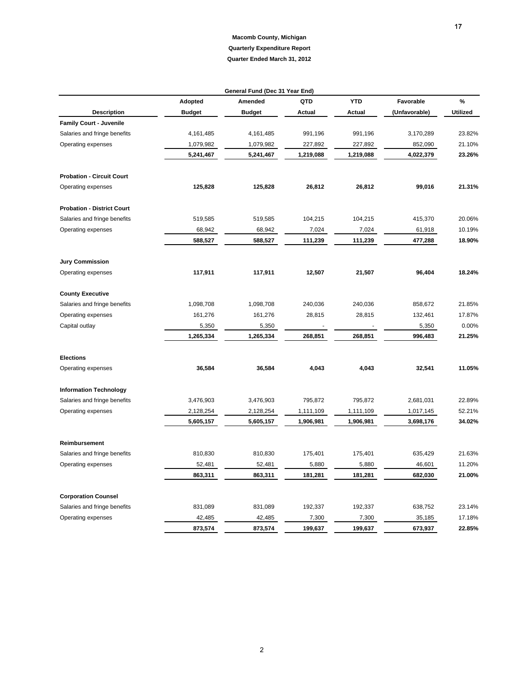|                                   |               | General Fund (Dec 31 Year End) |           |            |               |                 |
|-----------------------------------|---------------|--------------------------------|-----------|------------|---------------|-----------------|
|                                   | Adopted       | Amended                        | QTD       | <b>YTD</b> | Favorable     | %               |
| <b>Description</b>                | <b>Budget</b> | <b>Budget</b>                  | Actual    | Actual     | (Unfavorable) | <b>Utilized</b> |
| <b>Family Court - Juvenile</b>    |               |                                |           |            |               |                 |
| Salaries and fringe benefits      | 4,161,485     | 4,161,485                      | 991,196   | 991,196    | 3,170,289     | 23.82%          |
| Operating expenses                | 1,079,982     | 1,079,982                      | 227,892   | 227,892    | 852,090       | 21.10%          |
|                                   | 5,241,467     | 5,241,467                      | 1,219,088 | 1,219,088  | 4,022,379     | 23.26%          |
| <b>Probation - Circuit Court</b>  |               |                                |           |            |               |                 |
| Operating expenses                | 125,828       | 125,828                        | 26,812    | 26,812     | 99,016        | 21.31%          |
| <b>Probation - District Court</b> |               |                                |           |            |               |                 |
| Salaries and fringe benefits      | 519,585       | 519,585                        | 104,215   | 104,215    | 415,370       | 20.06%          |
| Operating expenses                | 68,942        | 68,942                         | 7,024     | 7,024      | 61,918        | 10.19%          |
|                                   | 588,527       | 588,527                        | 111,239   | 111,239    | 477,288       | 18.90%          |
| <b>Jury Commission</b>            |               |                                |           |            |               |                 |
| Operating expenses                | 117,911       | 117,911                        | 12,507    | 21,507     | 96,404        | 18.24%          |
| <b>County Executive</b>           |               |                                |           |            |               |                 |
| Salaries and fringe benefits      | 1,098,708     | 1,098,708                      | 240,036   | 240,036    | 858,672       | 21.85%          |
| Operating expenses                | 161,276       | 161,276                        | 28,815    | 28,815     | 132,461       | 17.87%          |
| Capital outlay                    | 5,350         | 5,350                          |           |            | 5,350         | 0.00%           |
|                                   | 1,265,334     | 1,265,334                      | 268,851   | 268,851    | 996,483       | 21.25%          |
| <b>Elections</b>                  |               |                                |           |            |               |                 |
| Operating expenses                | 36,584        | 36,584                         | 4,043     | 4,043      | 32,541        | 11.05%          |
| <b>Information Technology</b>     |               |                                |           |            |               |                 |
| Salaries and fringe benefits      | 3,476,903     | 3,476,903                      | 795,872   | 795,872    | 2,681,031     | 22.89%          |
| Operating expenses                | 2,128,254     | 2,128,254                      | 1,111,109 | 1,111,109  | 1,017,145     | 52.21%          |
|                                   | 5,605,157     | 5,605,157                      | 1,906,981 | 1,906,981  | 3,698,176     | 34.02%          |
| Reimbursement                     |               |                                |           |            |               |                 |
| Salaries and fringe benefits      | 810,830       | 810,830                        | 175,401   | 175,401    | 635,429       | 21.63%          |
| Operating expenses                | 52,481        | 52,481                         | 5,880     | 5,880      | 46,601        | 11.20%          |
|                                   | 863,311       | 863,311                        | 181,281   | 181,281    | 682,030       | 21.00%          |
| <b>Corporation Counsel</b>        |               |                                |           |            |               |                 |
| Salaries and fringe benefits      | 831,089       | 831,089                        | 192,337   | 192,337    | 638,752       | 23.14%          |
| Operating expenses                | 42,485        | 42,485                         | 7,300     | 7,300      | 35,185        | 17.18%          |
|                                   | 873,574       | 873,574                        | 199,637   | 199,637    | 673,937       | 22.85%          |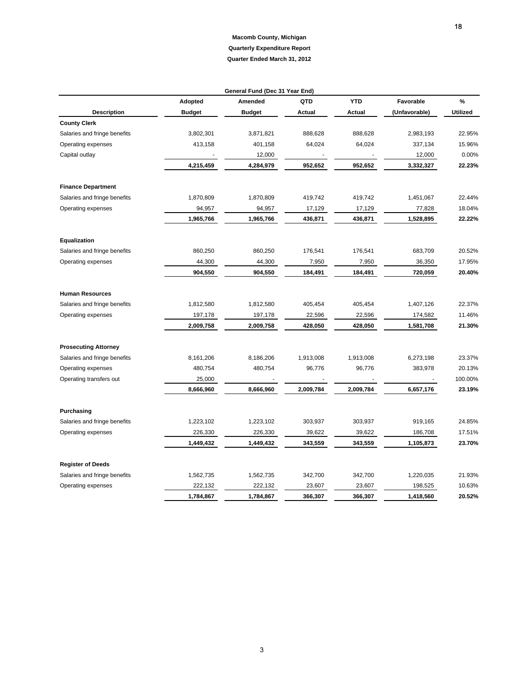|                              |               | General Fund (Dec 31 Year End) |               |               |               |                 |
|------------------------------|---------------|--------------------------------|---------------|---------------|---------------|-----------------|
|                              | Adopted       | Amended                        | QTD           | <b>YTD</b>    | Favorable     | $\%$            |
| <b>Description</b>           | <b>Budget</b> | <b>Budget</b>                  | <b>Actual</b> | <b>Actual</b> | (Unfavorable) | <b>Utilized</b> |
| <b>County Clerk</b>          |               |                                |               |               |               |                 |
| Salaries and fringe benefits | 3,802,301     | 3,871,821                      | 888,628       | 888,628       | 2,983,193     | 22.95%          |
| Operating expenses           | 413,158       | 401,158                        | 64,024        | 64,024        | 337,134       | 15.96%          |
| Capital outlay               |               | 12,000                         |               |               | 12,000        | 0.00%           |
|                              | 4,215,459     | 4,284,979                      | 952,652       | 952,652       | 3,332,327     | 22.23%          |
| <b>Finance Department</b>    |               |                                |               |               |               |                 |
| Salaries and fringe benefits | 1,870,809     | 1,870,809                      | 419,742       | 419,742       | 1,451,067     | 22.44%          |
| Operating expenses           | 94,957        | 94,957                         | 17,129        | 17,129        | 77,828        | 18.04%          |
|                              | 1,965,766     | 1,965,766                      | 436,871       | 436,871       | 1,528,895     | 22.22%          |
| Equalization                 |               |                                |               |               |               |                 |
| Salaries and fringe benefits | 860,250       | 860,250                        | 176,541       | 176,541       | 683,709       | 20.52%          |
| Operating expenses           | 44,300        | 44,300                         | 7,950         | 7,950         | 36,350        | 17.95%          |
|                              | 904,550       | 904,550                        | 184,491       | 184,491       | 720,059       | 20.40%          |
| <b>Human Resources</b>       |               |                                |               |               |               |                 |
| Salaries and fringe benefits | 1,812,580     | 1,812,580                      | 405,454       | 405,454       | 1,407,126     | 22.37%          |
| Operating expenses           | 197,178       | 197,178                        | 22,596        | 22,596        | 174,582       | 11.46%          |
|                              | 2,009,758     | 2,009,758                      | 428,050       | 428,050       | 1,581,708     | 21.30%          |
| <b>Prosecuting Attorney</b>  |               |                                |               |               |               |                 |
| Salaries and fringe benefits | 8,161,206     | 8,186,206                      | 1,913,008     | 1,913,008     | 6,273,198     | 23.37%          |
| Operating expenses           | 480,754       | 480,754                        | 96,776        | 96,776        | 383,978       | 20.13%          |
| Operating transfers out      | 25,000        |                                |               |               |               | 100.00%         |
|                              | 8,666,960     | 8,666,960                      | 2,009,784     | 2,009,784     | 6,657,176     | 23.19%          |
| Purchasing                   |               |                                |               |               |               |                 |
| Salaries and fringe benefits | 1,223,102     | 1,223,102                      | 303,937       | 303,937       | 919,165       | 24.85%          |
| Operating expenses           | 226,330       | 226,330                        | 39,622        | 39,622        | 186,708       | 17.51%          |
|                              | 1,449,432     | 1,449,432                      | 343,559       | 343,559       | 1,105,873     | 23.70%          |
| <b>Register of Deeds</b>     |               |                                |               |               |               |                 |
| Salaries and fringe benefits | 1,562,735     | 1,562,735                      | 342,700       | 342,700       | 1,220,035     | 21.93%          |
| Operating expenses           | 222,132       | 222,132                        | 23,607        | 23,607        | 198,525       | 10.63%          |
|                              | 1,784,867     | 1,784,867                      | 366,307       | 366,307       | 1,418,560     | 20.52%          |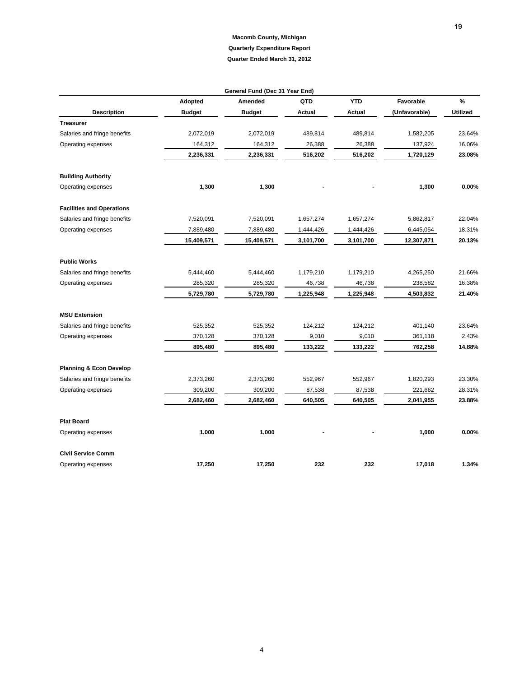|                                    | General Fund (Dec 31 Year End) |               |               |               |               |                 |  |  |  |  |  |
|------------------------------------|--------------------------------|---------------|---------------|---------------|---------------|-----------------|--|--|--|--|--|
|                                    | Adopted                        | Amended       | QTD           | <b>YTD</b>    | Favorable     | $\%$            |  |  |  |  |  |
| <b>Description</b>                 | <b>Budget</b>                  | <b>Budget</b> | <b>Actual</b> | <b>Actual</b> | (Unfavorable) | <b>Utilized</b> |  |  |  |  |  |
| <b>Treasurer</b>                   |                                |               |               |               |               |                 |  |  |  |  |  |
| Salaries and fringe benefits       | 2,072,019                      | 2,072,019     | 489,814       | 489,814       | 1,582,205     | 23.64%          |  |  |  |  |  |
| Operating expenses                 | 164,312                        | 164,312       | 26,388        | 26,388        | 137,924       | 16.06%          |  |  |  |  |  |
|                                    | 2,236,331                      | 2,236,331     | 516,202       | 516,202       | 1,720,129     | 23.08%          |  |  |  |  |  |
| <b>Building Authority</b>          |                                |               |               |               |               |                 |  |  |  |  |  |
| Operating expenses                 | 1,300                          | 1,300         |               |               | 1,300         | 0.00%           |  |  |  |  |  |
| <b>Facilities and Operations</b>   |                                |               |               |               |               |                 |  |  |  |  |  |
| Salaries and fringe benefits       | 7,520,091                      | 7,520,091     | 1,657,274     | 1,657,274     | 5,862,817     | 22.04%          |  |  |  |  |  |
| Operating expenses                 | 7,889,480                      | 7,889,480     | 1,444,426     | 1,444,426     | 6,445,054     | 18.31%          |  |  |  |  |  |
|                                    | 15,409,571                     | 15,409,571    | 3,101,700     | 3,101,700     | 12,307,871    | 20.13%          |  |  |  |  |  |
| <b>Public Works</b>                |                                |               |               |               |               |                 |  |  |  |  |  |
| Salaries and fringe benefits       | 5,444,460                      | 5,444,460     | 1,179,210     | 1,179,210     | 4,265,250     | 21.66%          |  |  |  |  |  |
| Operating expenses                 | 285,320                        | 285,320       | 46,738        | 46,738        | 238,582       | 16.38%          |  |  |  |  |  |
|                                    | 5,729,780                      | 5,729,780     | 1,225,948     | 1,225,948     | 4,503,832     | 21.40%          |  |  |  |  |  |
| <b>MSU Extension</b>               |                                |               |               |               |               |                 |  |  |  |  |  |
| Salaries and fringe benefits       | 525,352                        | 525,352       | 124,212       | 124,212       | 401,140       | 23.64%          |  |  |  |  |  |
| Operating expenses                 | 370,128                        | 370,128       | 9,010         | 9,010         | 361,118       | 2.43%           |  |  |  |  |  |
|                                    | 895,480                        | 895,480       | 133,222       | 133,222       | 762,258       | 14.88%          |  |  |  |  |  |
| <b>Planning &amp; Econ Develop</b> |                                |               |               |               |               |                 |  |  |  |  |  |
| Salaries and fringe benefits       | 2,373,260                      | 2,373,260     | 552,967       | 552,967       | 1,820,293     | 23.30%          |  |  |  |  |  |
| Operating expenses                 | 309,200                        | 309,200       | 87,538        | 87,538        | 221,662       | 28.31%          |  |  |  |  |  |
|                                    | 2,682,460                      | 2,682,460     | 640,505       | 640,505       | 2,041,955     | 23.88%          |  |  |  |  |  |
| <b>Plat Board</b>                  |                                |               |               |               |               |                 |  |  |  |  |  |
| Operating expenses                 | 1,000                          | 1,000         |               |               | 1,000         | 0.00%           |  |  |  |  |  |
| <b>Civil Service Comm</b>          |                                |               |               |               |               |                 |  |  |  |  |  |
| Operating expenses                 | 17,250                         | 17,250        | 232           | 232           | 17,018        | 1.34%           |  |  |  |  |  |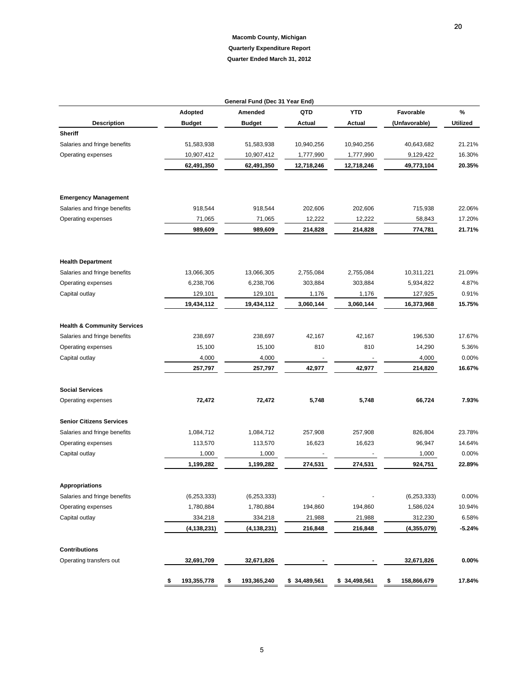**20** 

|                                        |                   | General Fund (Dec 31 Year End) |               |              |                   |                 |
|----------------------------------------|-------------------|--------------------------------|---------------|--------------|-------------------|-----------------|
|                                        | Adopted           | Amended                        | QTD           | <b>YTD</b>   | Favorable         | %               |
| <b>Description</b>                     | <b>Budget</b>     | <b>Budget</b>                  | <b>Actual</b> | Actual       | (Unfavorable)     | <b>Utilized</b> |
| <b>Sheriff</b>                         |                   |                                |               |              |                   |                 |
| Salaries and fringe benefits           | 51,583,938        | 51,583,938                     | 10,940,256    | 10,940,256   | 40,643,682        | 21.21%          |
| Operating expenses                     | 10,907,412        | 10,907,412                     | 1,777,990     | 1,777,990    | 9,129,422         | 16.30%          |
|                                        | 62,491,350        | 62,491,350                     | 12,718,246    | 12,718,246   | 49,773,104        | 20.35%          |
|                                        |                   |                                |               |              |                   |                 |
| <b>Emergency Management</b>            |                   |                                |               |              |                   |                 |
| Salaries and fringe benefits           | 918,544           | 918,544                        | 202,606       | 202,606      | 715,938           | 22.06%          |
| Operating expenses                     | 71,065            | 71,065                         | 12,222        | 12,222       | 58,843            | 17.20%          |
|                                        | 989,609           | 989,609                        | 214,828       | 214,828      | 774,781           | 21.71%          |
| <b>Health Department</b>               |                   |                                |               |              |                   |                 |
| Salaries and fringe benefits           | 13,066,305        | 13,066,305                     | 2,755,084     | 2,755,084    | 10,311,221        | 21.09%          |
| Operating expenses                     | 6,238,706         | 6,238,706                      | 303,884       | 303,884      | 5,934,822         | 4.87%           |
| Capital outlay                         | 129,101           | 129,101                        | 1,176         | 1,176        | 127,925           | 0.91%           |
|                                        | 19,434,112        | 19,434,112                     | 3,060,144     | 3,060,144    | 16,373,968        | 15.75%          |
|                                        |                   |                                |               |              |                   |                 |
| <b>Health &amp; Community Services</b> |                   |                                |               |              |                   |                 |
| Salaries and fringe benefits           | 238,697           | 238,697                        | 42,167        | 42,167       | 196,530           | 17.67%          |
| Operating expenses                     | 15,100            | 15,100                         | 810           | 810          | 14,290            | 5.36%           |
| Capital outlay                         | 4,000             | 4,000                          |               |              | 4,000             | 0.00%           |
|                                        | 257,797           | 257,797                        | 42,977        | 42,977       | 214,820           | 16.67%          |
| <b>Social Services</b>                 |                   |                                |               |              |                   |                 |
| Operating expenses                     | 72,472            | 72,472                         | 5,748         | 5,748        | 66,724            | 7.93%           |
| <b>Senior Citizens Services</b>        |                   |                                |               |              |                   |                 |
| Salaries and fringe benefits           | 1,084,712         | 1,084,712                      | 257,908       | 257,908      | 826,804           | 23.78%          |
| Operating expenses                     | 113,570           | 113,570                        | 16,623        | 16,623       | 96,947            | 14.64%          |
| Capital outlay                         | 1,000             | 1,000                          |               |              | 1,000             | 0.00%           |
|                                        | 1,199,282         | 1,199,282                      | 274,531       | 274,531      | 924,751           | 22.89%          |
| <b>Appropriations</b>                  |                   |                                |               |              |                   |                 |
| Salaries and fringe benefits           | (6, 253, 333)     | (6, 253, 333)                  |               |              | (6, 253, 333)     | 0.00%           |
| Operating expenses                     | 1,780,884         | 1,780,884                      | 194,860       | 194,860      | 1,586,024         | 10.94%          |
| Capital outlay                         | 334,218           | 334,218                        | 21,988        | 21,988       | 312,230           | 6.58%           |
|                                        | (4, 138, 231)     | (4, 138, 231)                  | 216,848       | 216,848      | (4,355,079)       | $-5.24%$        |
| <b>Contributions</b>                   |                   |                                |               |              |                   |                 |
| Operating transfers out                | 32,691,709        | 32,671,826                     |               |              | 32,671,826        | 0.00%           |
|                                        | \$<br>193,355,778 | 193,365,240<br>\$              | \$34,489,561  | \$34,498,561 | \$<br>158,866,679 | 17.84%          |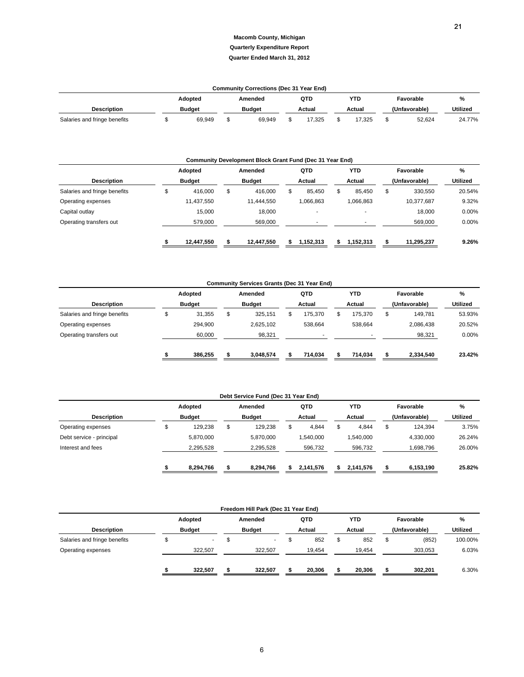|                              |               | <b>Community Corrections (Dec 31 Year End)</b> |        |        |               |           |                 |
|------------------------------|---------------|------------------------------------------------|--------|--------|---------------|-----------|-----------------|
|                              | Adopted       | Amended                                        | QTD    | YTD    |               | Favorable | %               |
| <b>Description</b>           | <b>Budget</b> | <b>Budget</b>                                  | Actual | Actual | (Unfavorable) |           | <b>Utilized</b> |
| Salaries and fringe benefits | 69.949        | 69.949                                         | 7.325  | 17.325 |               | 52,624    | 24.77%          |

|                              | Community Development Block Grant Fund (Dec 31 Year End) |            |               |            |        |           |        |                          |               |            |                 |
|------------------------------|----------------------------------------------------------|------------|---------------|------------|--------|-----------|--------|--------------------------|---------------|------------|-----------------|
|                              |                                                          | Adopted    |               | Amended    |        | QTD       |        | <b>YTD</b>               | Favorable     |            | %               |
| <b>Description</b>           | <b>Budget</b>                                            |            | <b>Budget</b> |            | Actual |           | Actual |                          | (Unfavorable) |            | <b>Utilized</b> |
| Salaries and fringe benefits | S                                                        | 416.000    | \$            | 416.000    | S      | 85.450    | \$     | 85.450                   | \$            | 330.550    | 20.54%          |
| Operating expenses           |                                                          | 11,437,550 |               | 11,444,550 |        | 1,066,863 |        | 1,066,863                |               | 10,377,687 | 9.32%           |
| Capital outlay               |                                                          | 15,000     |               | 18,000     |        |           |        |                          |               | 18,000     | 0.00%           |
| Operating transfers out      |                                                          | 579,000    |               | 569,000    |        |           |        | $\overline{\phantom{a}}$ |               | 569,000    | 0.00%           |
|                              |                                                          | 12,447,550 |               | 12.447.550 |        | 1.152.313 |        | 1.152.313                |               | 11,295,237 | 9.26%           |

|                              |               | <b>Community Services Grants (Dec 31 Year End)</b> |         |               |                                                                                 |          |        |
|------------------------------|---------------|----------------------------------------------------|---------|---------------|---------------------------------------------------------------------------------|----------|--------|
|                              | Adopted       | Amended                                            | QTD     | <b>YTD</b>    |                                                                                 |          | %      |
| <b>Description</b>           | <b>Budget</b> | <b>Budget</b>                                      | Actual  | Actual        | Favorable<br>(Unfavorable)<br>\$<br>149.781<br>2,086,438<br>98,321<br>2,334,540 | Utilized |        |
| Salaries and fringe benefits | 31,355        | \$<br>325.151                                      | 175.370 | \$<br>175.370 |                                                                                 |          | 53.93% |
| Operating expenses           | 294.900       | 2.625.102                                          | 538.664 | 538.664       |                                                                                 |          | 20.52% |
| Operating transfers out      | 60,000        | 98,321                                             |         |               |                                                                                 | 0.00%    |        |
|                              | 386,255       | 3,048,574                                          | 714,034 | 714,034       |                                                                                 |          | 23.42% |

|                          |   |               | Debt Service Fund (Dec 31 Year End) |           |             |                                                                |          |
|--------------------------|---|---------------|-------------------------------------|-----------|-------------|----------------------------------------------------------------|----------|
|                          |   | Adopted       | Amended                             | QTD       | <b>YTD</b>  | Favorable                                                      | %        |
| <b>Description</b>       |   | <b>Budget</b> | <b>Budget</b>                       | Actual    | Actual      | (Unfavorable)<br>124.394<br>4.330.000<br>.698,796<br>6,153,190 | Utilized |
| Operating expenses       | Φ | 129.238       | \$<br>129.238                       | 4.844     | \$<br>4.844 | \$                                                             | 3.75%    |
| Debt service - principal |   | 5.870.000     | 5.870.000                           | 1.540.000 | .540.000    |                                                                | 26.24%   |
| Interest and fees        |   | 2.295.528     | 2,295,528                           | 596.732   | 596,732     |                                                                | 26.00%   |
|                          |   | 8,294,766     | 8,294,766                           | 2,141,576 | 2.141.576   |                                                                | 25.82%   |

|                              |                                                                       |  | Freedom Hill Park (Dec 31 Year End) |  |        |        |            |               |                 |         |
|------------------------------|-----------------------------------------------------------------------|--|-------------------------------------|--|--------|--------|------------|---------------|-----------------|---------|
|                              |                                                                       |  |                                     |  | QTD    |        | <b>YTD</b> |               | Favorable       | %       |
| <b>Description</b>           | Adopted<br>Amended<br><b>Budget</b><br><b>Budget</b><br>\$<br>322.507 |  | Actual                              |  |        | Actual |            | (Unfavorable) | <b>Utilized</b> |         |
| Salaries and fringe benefits |                                                                       |  | ۰.                                  |  | 852    | \$     | 852        | \$            | (852)           | 100.00% |
| Operating expenses           |                                                                       |  | 322.507                             |  | 19.454 |        | 19.454     |               | 303,053         | 6.03%   |
|                              | 322.507                                                               |  | 322.507                             |  | 20.306 |        | 20,306     |               | 302,201         | 6.30%   |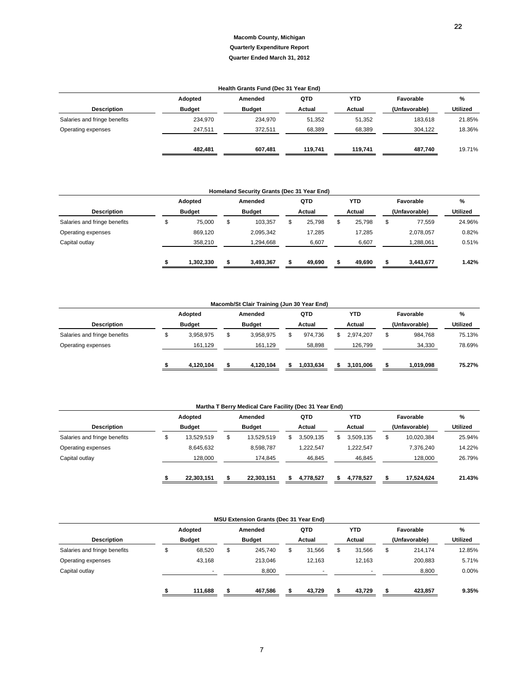### **Adopted Amended QTD YTD Favorable % Description Budget Budget Budget Budget Actual Actual Actual (Unfavorable)** Utilized Salaries and fringe benefits 234,970 234,970 51,352 51,352 183,618 21.85% Operating expenses 247,511 372,511 58,389 68,389 304,122 18.36%  **482,481 607,481 119,741 119,741 487,740** 19.71% **Health Grants Fund (Dec 31 Year End)**

|                              |               |           |               | Homeland Security Grants (Dec 31 Year End) |        |        |              |               |                 |
|------------------------------|---------------|-----------|---------------|--------------------------------------------|--------|--------|--------------|---------------|-----------------|
|                              |               | Adopted   |               | Amended                                    |        | QTD    | <b>YTD</b>   | Favorable     | %               |
| <b>Description</b>           | <b>Budget</b> |           | <b>Budget</b> |                                            | Actual |        | Actual       | (Unfavorable) | <b>Utilized</b> |
| Salaries and fringe benefits |               | 75,000    | \$            | 103,357                                    |        | 25,798 | \$<br>25,798 | \$<br>77,559  | 24.96%          |
| Operating expenses           |               | 869,120   |               | 2,095,342                                  |        | 17,285 | 17.285       | 2,078,057     | 0.82%           |
| Capital outlay               |               | 358,210   |               | 1,294,668                                  |        | 6,607  | 6,607        | 1,288,061     | 0.51%           |
|                              |               | 1,302,330 |               | 3.493.367                                  |        | 49,690 | 49.690       | 3,443,677     | 1.42%           |

| Macomb/St Clair Training (Jun 30 Year End) |               |           |               |           |        |           |  |            |    |               |                 |  |
|--------------------------------------------|---------------|-----------|---------------|-----------|--------|-----------|--|------------|----|---------------|-----------------|--|
|                                            |               | Adopted   |               | Amended   |        | QTD       |  | <b>YTD</b> |    | Favorable     | %               |  |
| <b>Description</b>                         | <b>Budget</b> |           | <b>Budget</b> |           | Actual |           |  | Actual     |    | (Unfavorable) | <b>Utilized</b> |  |
| Salaries and fringe benefits               |               | 3.958.975 | \$            | 3,958,975 |        | 974.736   |  | 2.974.207  | \$ | 984,768       | 75.13%          |  |
| Operating expenses                         |               | 161.129   |               | 161,129   |        | 58,898    |  | 126.799    |    | 34,330        | 78.69%          |  |
|                                            |               | 4,120,104 |               | 4,120,104 |        | 1.033.634 |  | 3,101,006  |    | 1,019,098     | 75.27%          |  |

|                              |               |            |               | Martha T Berry Medical Care Facility (Dec 31 Year End) |        |           |                 |                  |          |
|------------------------------|---------------|------------|---------------|--------------------------------------------------------|--------|-----------|-----------------|------------------|----------|
|                              |               | Adopted    |               | Amended                                                |        | QTD       | <b>YTD</b>      | Favorable        | %        |
| <b>Description</b>           | <b>Budget</b> |            | <b>Budget</b> |                                                        | Actual |           | Actual          | (Unfavorable)    | Utilized |
| Salaries and fringe benefits |               | 13.529.519 | \$            | 13.529.519                                             | S.     | 3,509,135 | \$<br>3,509,135 | \$<br>10.020.384 | 25.94%   |
| Operating expenses           |               | 8.645.632  |               | 8.598.787                                              |        | 1.222.547 | 1.222.547       | 7.376.240        | 14.22%   |
| Capital outlay               |               | 128,000    |               | 174,845                                                |        | 46,845    | 46,845          | 128,000          | 26.79%   |
|                              |               | 22.303.151 |               | 22.303.151                                             | S.     | 4.778.527 | 4.778.527       | 17.524.624       | 21.43%   |

|                              |               | <b>MSU Extension Grants (Dec 31 Year End)</b> |        |                          |               |          |
|------------------------------|---------------|-----------------------------------------------|--------|--------------------------|---------------|----------|
|                              | Adopted       | Amended                                       | QTD    | <b>YTD</b>               | Favorable     | %        |
| <b>Description</b>           | <b>Budget</b> | <b>Budget</b>                                 | Actual | Actual                   | (Unfavorable) | Utilized |
| Salaries and fringe benefits | 68,520        | \$<br>245,740                                 | 31.566 | \$<br>31.566             | \$<br>214.174 | 12.85%   |
| Operating expenses           | 43,168        | 213,046                                       | 12.163 | 12.163                   | 200,883       | 5.71%    |
| Capital outlay               | ۰             | 8,800                                         |        | $\overline{\phantom{a}}$ | 8,800         | $0.00\%$ |
|                              | 111,688       | 467,586                                       | 43,729 | 43,729                   | 423,857       | 9.35%    |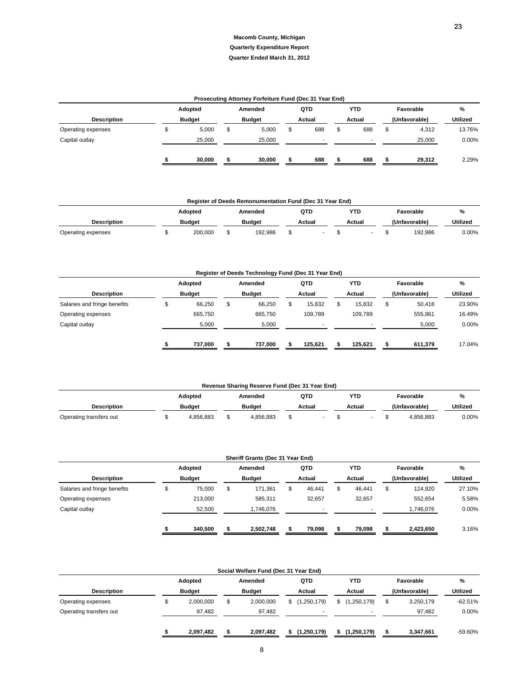#### **Quarter Ended March 31, 2012**

|                    |               |         |               | Prosecuting Attorney Forfeiture Fund (Dec 31 Year End) |        |     |   |        |               |                 |
|--------------------|---------------|---------|---------------|--------------------------------------------------------|--------|-----|---|--------|---------------|-----------------|
|                    |               | Adopted |               | Amended                                                |        | QTD |   | YTD    | Favorable     | %               |
| <b>Description</b> | <b>Budget</b> |         | <b>Budget</b> |                                                        | Actual |     |   | Actual | (Unfavorable) | <b>Utilized</b> |
| Operating expenses |               | 5,000   |               | 5,000                                                  |        | 688 | S | 688    | \$<br>4,312   | 13.76%          |
| Capital outlay     |               | 25,000  |               | 25,000                                                 |        |     |   | ۰      | 25,000        | 0.00%           |
|                    |               | 30.000  |               | 30,000                                                 |        | 688 |   | 688    | 29,312        | 2.29%           |

|                    |               | <b>Register of Deeds Remonumentation Fund (Dec 31 Year End)</b> |        |        |               |                 |
|--------------------|---------------|-----------------------------------------------------------------|--------|--------|---------------|-----------------|
|                    | Adopted       | Amended                                                         | QTD    | YTD.   | Favorable     | %               |
| <b>Description</b> | <b>Budget</b> | <b>Budget</b>                                                   | Actual | Actual | (Unfavorable) | <b>Utilized</b> |
| Operating expenses | 200.000       | 192.986                                                         |        |        | 192.986       | $0.00\%$        |

|                              |               |                |               | Register of Deeds Technology Fund (Dec 31 Year End) |        |         |    |         |       |               |          |
|------------------------------|---------------|----------------|---------------|-----------------------------------------------------|--------|---------|----|---------|-------|---------------|----------|
|                              |               | <b>Adopted</b> |               | Amended                                             |        | QTD     |    | YTD     |       | Favorable     | %        |
| <b>Description</b>           | <b>Budget</b> |                | <b>Budget</b> |                                                     | Actual |         |    | Actual  |       | (Unfavorable) | Utilized |
| Salaries and fringe benefits |               | 66.250         | \$            | 66,250                                              |        | 15.832  | \$ | 15.832  | \$    | 50,418        | 23.90%   |
| Operating expenses           |               | 665,750        |               | 665.750                                             |        | 109.789 |    | 109.789 |       | 555,961       | 16.49%   |
| Capital outlay               |               | 5,000          |               | 5,000                                               |        | ۰       |    |         | 5,000 | 0.00%         |          |
|                              |               | 737.000        | ж             | 737.000                                             |        | 125.621 | S. | 125.621 | S.    | 611,379       | 17.04%   |

|                         |               | Revenue Sharing Reserve Fund (Dec 31 Year End) |        |        |               |                 |
|-------------------------|---------------|------------------------------------------------|--------|--------|---------------|-----------------|
|                         | Adopted       | Amended                                        | QTD    | YTD    | Favorable     | %               |
| <b>Description</b>      | <b>Budget</b> | <b>Budget</b>                                  | Actual | Actual | (Unfavorable) | <b>Utilized</b> |
| Operating transfers out | 4.856.883     | 4.856.883                                      |        |        | 4.856.883     | $0.00\%$        |

|                              |               |    | Sheriff Grants (Dec 31 Year End) |        |            |                                                                                                                |          |
|------------------------------|---------------|----|----------------------------------|--------|------------|----------------------------------------------------------------------------------------------------------------|----------|
|                              | Adopted       |    | Amended                          | QTD    | <b>YTD</b> |                                                                                                                | %        |
| <b>Description</b>           | <b>Budget</b> |    | <b>Budget</b>                    | Actual | Actual     | Favorable<br>(Unfavorable)<br>\$<br>46.441<br>124,920<br>32.657<br>552.654<br>1,746,076<br>2,423,650<br>79,098 | Utilized |
| Salaries and fringe benefits | 75,000        | \$ | 171,361                          | 46,441 | \$         |                                                                                                                | 27.10%   |
| Operating expenses           | 213.000       |    | 585,311                          | 32.657 |            |                                                                                                                | 5.58%    |
| Capital outlay               | 52,500        |    | 1,746,076                        |        |            |                                                                                                                | 0.00%    |
|                              | 340.500       | ж  | 2.502.748                        | 79,098 |            |                                                                                                                | 3.16%    |

|                         |               | Social Welfare Fund (Dec 31 Year End) |               |   |             |                 |           |
|-------------------------|---------------|---------------------------------------|---------------|---|-------------|-----------------|-----------|
|                         | Adopted       | Amended                               | QTD           |   | <b>YTD</b>  | Favorable       | %         |
| <b>Description</b>      | <b>Budget</b> | <b>Budget</b>                         | Actual        |   | Actual      | (Unfavorable)   | Utilized  |
| Operating expenses      | 2,000,000     | \$<br>2,000,000                       | \$(1,250,179) | S | (1,250,179) | \$<br>3,250,179 | $-62.51%$ |
| Operating transfers out | 97,482        | 97,482                                |               |   |             | 97,482          | $0.00\%$  |
|                         | 2,097,482     | 2,097,482                             | (1,250,179)   | S | (1,250,179) | 3,347,661       | -59.60%   |

2323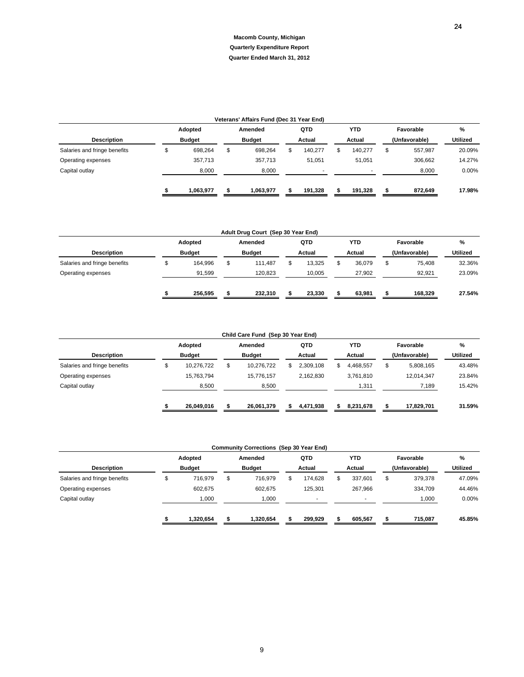|                              |               | Veterans' Affairs Fund (Dec 31 Year End) |   |         |    |            |               |                 |
|------------------------------|---------------|------------------------------------------|---|---------|----|------------|---------------|-----------------|
|                              | Adopted       | Amended                                  |   | QTD     |    | <b>YTD</b> | Favorable     | %               |
| <b>Description</b>           | <b>Budget</b> | <b>Budget</b>                            |   | Actual  |    | Actual     | (Unfavorable) | <b>Utilized</b> |
| Salaries and fringe benefits | 698,264       | \$<br>698,264                            | ъ | 140.277 | .১ | 140,277    | \$<br>557.987 | 20.09%          |
| Operating expenses           | 357,713       | 357,713                                  |   | 51.051  |    | 51,051     | 306,662       | 14.27%          |
| Capital outlay               | 8,000         | 8,000                                    |   |         |    |            | 8,000         | $0.00\%$        |
|                              | 1,063,977     | 1,063,977                                |   | 191,328 |    | 191,328    | 872,649       | 17.98%          |

|                              |               |     | Adult Drug Court (Sep 30 Year End) |        |            |               |                 |
|------------------------------|---------------|-----|------------------------------------|--------|------------|---------------|-----------------|
|                              | Adopted       |     | Amended                            | QTD    | <b>YTD</b> | Favorable     | %               |
| <b>Description</b>           | <b>Budget</b> |     | <b>Budget</b>                      | Actual | Actual     | (Unfavorable) | <b>Utilized</b> |
| Salaries and fringe benefits | 164.996       | \$  | 111.487                            | 13.325 | 36.079     | \$<br>75.408  | 32.36%          |
| Operating expenses           | 91,599        |     | 120,823                            | 10,005 | 27,902     | 92,921        | 23.09%          |
|                              | 256.595       | -11 | 232.310                            | 23.330 | 63,981     | 168,329       | 27.54%          |

|                              |               | Child Care Fund (Sep 30 Year End) |    |           |   |            |                 |                 |
|------------------------------|---------------|-----------------------------------|----|-----------|---|------------|-----------------|-----------------|
|                              | Adopted       | Amended                           |    | QTD       |   | <b>YTD</b> | Favorable       | %               |
| <b>Description</b>           | <b>Budget</b> | <b>Budget</b>                     |    | Actual    |   | Actual     | (Unfavorable)   | <b>Utilized</b> |
| Salaries and fringe benefits | 10,276,722    | \$<br>10,276,722                  | S. | 2,309,108 | S | 4,468,557  | \$<br>5,808,165 | 43.48%          |
| Operating expenses           | 15,763,794    | 15.776.157                        |    | 2.162.830 |   | 3,761,810  | 12,014,347      | 23.84%          |
| Capital outlay               | 8,500         | 8,500                             |    |           |   | 1,311      | 7,189           | 15.42%          |
|                              | 26.049.016    | 26,061,379                        |    | 4,471,938 |   | 8,231,678  | 17,829,701      | 31.59%          |

|                              |               | <b>Community Corrections (Sep 30 Year End)</b> |         |               |               |          |
|------------------------------|---------------|------------------------------------------------|---------|---------------|---------------|----------|
|                              | Adopted       | Amended                                        | QTD     | <b>YTD</b>    | Favorable     | %        |
| <b>Description</b>           | <b>Budget</b> | <b>Budget</b>                                  | Actual  | Actual        | (Unfavorable) | Utilized |
| Salaries and fringe benefits | 716.979       | \$<br>716.979                                  | 174.628 | \$<br>337.601 | \$<br>379,378 | 47.09%   |
| Operating expenses           | 602,675       | 602,675                                        | 125.301 | 267,966       | 334,709       | 44.46%   |
| Capital outlay               | 1,000         | 1,000                                          |         | ٠             | 1,000         | 0.00%    |
|                              | 1,320,654     | 1,320,654                                      | 299,929 | 605.567       | 715,087       | 45.85%   |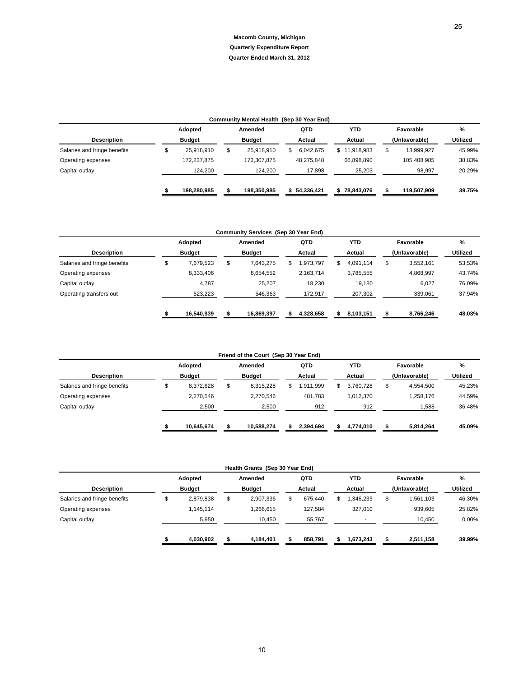|                              |               | Community Mental Health (Sep 30 Year End) |    |            |                  |                  |          |
|------------------------------|---------------|-------------------------------------------|----|------------|------------------|------------------|----------|
|                              | Adopted       | Amended                                   |    | QTD        | <b>YTD</b>       | Favorable        | %        |
| <b>Description</b>           | <b>Budget</b> | <b>Budget</b>                             |    | Actual     | Actual           | (Unfavorable)    | Utilized |
| Salaries and fringe benefits | 25.918.910    | \$<br>25.918.910                          | S. | 6.042.675  | \$<br>11.918.983 | \$<br>13,999,927 | 45.99%   |
| Operating expenses           | 172,237,875   | 172.307.875                               |    | 48,275,848 | 66.898.890       | 105,408,985      | 38.83%   |
| Capital outlay               | 124,200       | 124,200                                   |    | 17,898     | 25,203           | 98,997           | 20.29%   |
|                              | 198.280.985   | 198.350.985                               | S. | 54.336.421 | 78,843,076       | 119,507,909      | 39.75%   |

| <b>Macomb County, Michigan</b><br><b>Quarterly Expenditure Report</b><br>Quarter Ended March 31, 2012<br>Community Mental Health (Sep 30 Year End)<br>Amended<br><b>YTD</b><br>Favorable<br>%<br>Adopted<br>QTD<br><b>Utilized</b><br><b>Description</b><br><b>Budget</b><br><b>Budget</b><br>Actual<br>Actual<br>(Unfavorable)<br>\$<br>\$<br>\$<br>\$<br>6,042,675<br>\$11,918,983<br>Salaries and fringe benefits<br>25,918,910<br>25,918,910<br>13,999,927<br>45.99%<br>Operating expenses<br>172,237,875<br>172,307,875<br>48,275,848<br>66,898,890<br>105,408,985<br>38.83%<br>Capital outlay<br>17,898<br>25,203<br>20.29%<br>124,200<br>124,200<br>98,997<br>39.75%<br>198,280,985<br>198,350,985<br>\$54,336,421<br>\$<br>\$78,843,076<br>\$<br>119,507,909<br>\$<br>Community Services (Sep 30 Year End)<br><b>YTD</b><br>Favorable<br>%<br>Adopted<br>Amended<br>QTD<br>Utilized<br><b>Description</b><br><b>Budget</b><br><b>Budget</b><br>Actual<br>Actual<br>(Unfavorable)<br>\$<br>\$<br>\$<br>\$<br>Salaries and fringe benefits<br>7,679,523<br>7,643,275<br>1,973,797<br>\$<br>4,091,114<br>3,552,161<br>53.53%<br>Operating expenses<br>8,333,406<br>8,654,552<br>2,163,714<br>3,785,555<br>4,868,997<br>43.74%<br>Capital outlay<br>4,787<br>25,207<br>18,230<br>19,180<br>6,027<br>76.09%<br>Operating transfers out<br>523,223<br>546,363<br>207,302<br>339,061<br>37.94%<br>172,917<br>48.03%<br>16,540,939<br>16,869,397<br>8,766,246<br>\$<br>4,328,658<br>8,103,151<br>\$<br>\$<br>\$<br>\$<br>Friend of the Court (Sep 30 Year End)<br><b>YTD</b><br>Favorable<br>%<br>Adopted<br>Amended<br>QTD<br>Utilized<br><b>Description</b><br><b>Budget</b><br>Actual<br>Actual<br>(Unfavorable)<br><b>Budget</b><br>\$<br>\$<br>\$<br>Salaries and fringe benefits<br>8,372,628<br>8,315,228<br>\$<br>1,911,999<br>\$<br>3,760,728<br>4,554,500<br>45.23%<br>2,270,546<br>2,270,546<br>481,783<br>1,012,370<br>1,258,176<br>44.59%<br>Operating expenses<br>2,500<br>2,500<br>912<br>912<br>1,588<br>36.48%<br>Capital outlay<br>45.09%<br>10,645,674<br>10,588,274<br>\$<br>2,394,694<br>4,774,010<br>5,814,264<br>\$<br>\$<br>\$<br>Health Grants (Sep 30 Year End)<br>Adopted<br>Amended<br><b>YTD</b><br>Favorable<br>$\%$<br>QTD<br><b>Description</b><br><b>Budget</b><br><b>Budget</b><br>Actual<br>Actual<br>(Unfavorable)<br><b>Utilized</b><br>\$<br>\$<br>2,907,336<br>\$<br>675,440<br>\$<br>1,346,233<br>\$<br>Salaries and fringe benefits<br>2,879,838<br>1,561,103<br>46.30%<br>Operating expenses<br>1,145,114<br>1,266,615<br>127,584<br>327,010<br>939,605<br>25.82%<br>Capital outlay<br>0.00%<br>5,950<br>10,450<br>55,767<br>10,450<br>$\overline{\phantom{a}}$<br>39.99%<br>4,030,902<br>4,184,401<br>858,791<br>1,673,243<br>2,511,158<br>\$<br>\$<br>\$<br>\$<br>\$ |  |  |  |  |  | 25 |
|------------------------------------------------------------------------------------------------------------------------------------------------------------------------------------------------------------------------------------------------------------------------------------------------------------------------------------------------------------------------------------------------------------------------------------------------------------------------------------------------------------------------------------------------------------------------------------------------------------------------------------------------------------------------------------------------------------------------------------------------------------------------------------------------------------------------------------------------------------------------------------------------------------------------------------------------------------------------------------------------------------------------------------------------------------------------------------------------------------------------------------------------------------------------------------------------------------------------------------------------------------------------------------------------------------------------------------------------------------------------------------------------------------------------------------------------------------------------------------------------------------------------------------------------------------------------------------------------------------------------------------------------------------------------------------------------------------------------------------------------------------------------------------------------------------------------------------------------------------------------------------------------------------------------------------------------------------------------------------------------------------------------------------------------------------------------------------------------------------------------------------------------------------------------------------------------------------------------------------------------------------------------------------------------------------------------------------------------------------------------------------------------------------------------------------------------------------------------------------------------------------------------------------------------------------------------------------------------------------------------------------------------------------------------------------------------------------------------------------------------------------------------------------------------------------------|--|--|--|--|--|----|
|                                                                                                                                                                                                                                                                                                                                                                                                                                                                                                                                                                                                                                                                                                                                                                                                                                                                                                                                                                                                                                                                                                                                                                                                                                                                                                                                                                                                                                                                                                                                                                                                                                                                                                                                                                                                                                                                                                                                                                                                                                                                                                                                                                                                                                                                                                                                                                                                                                                                                                                                                                                                                                                                                                                                                                                                                  |  |  |  |  |  |    |
|                                                                                                                                                                                                                                                                                                                                                                                                                                                                                                                                                                                                                                                                                                                                                                                                                                                                                                                                                                                                                                                                                                                                                                                                                                                                                                                                                                                                                                                                                                                                                                                                                                                                                                                                                                                                                                                                                                                                                                                                                                                                                                                                                                                                                                                                                                                                                                                                                                                                                                                                                                                                                                                                                                                                                                                                                  |  |  |  |  |  |    |
|                                                                                                                                                                                                                                                                                                                                                                                                                                                                                                                                                                                                                                                                                                                                                                                                                                                                                                                                                                                                                                                                                                                                                                                                                                                                                                                                                                                                                                                                                                                                                                                                                                                                                                                                                                                                                                                                                                                                                                                                                                                                                                                                                                                                                                                                                                                                                                                                                                                                                                                                                                                                                                                                                                                                                                                                                  |  |  |  |  |  |    |
|                                                                                                                                                                                                                                                                                                                                                                                                                                                                                                                                                                                                                                                                                                                                                                                                                                                                                                                                                                                                                                                                                                                                                                                                                                                                                                                                                                                                                                                                                                                                                                                                                                                                                                                                                                                                                                                                                                                                                                                                                                                                                                                                                                                                                                                                                                                                                                                                                                                                                                                                                                                                                                                                                                                                                                                                                  |  |  |  |  |  |    |
|                                                                                                                                                                                                                                                                                                                                                                                                                                                                                                                                                                                                                                                                                                                                                                                                                                                                                                                                                                                                                                                                                                                                                                                                                                                                                                                                                                                                                                                                                                                                                                                                                                                                                                                                                                                                                                                                                                                                                                                                                                                                                                                                                                                                                                                                                                                                                                                                                                                                                                                                                                                                                                                                                                                                                                                                                  |  |  |  |  |  |    |
|                                                                                                                                                                                                                                                                                                                                                                                                                                                                                                                                                                                                                                                                                                                                                                                                                                                                                                                                                                                                                                                                                                                                                                                                                                                                                                                                                                                                                                                                                                                                                                                                                                                                                                                                                                                                                                                                                                                                                                                                                                                                                                                                                                                                                                                                                                                                                                                                                                                                                                                                                                                                                                                                                                                                                                                                                  |  |  |  |  |  |    |
|                                                                                                                                                                                                                                                                                                                                                                                                                                                                                                                                                                                                                                                                                                                                                                                                                                                                                                                                                                                                                                                                                                                                                                                                                                                                                                                                                                                                                                                                                                                                                                                                                                                                                                                                                                                                                                                                                                                                                                                                                                                                                                                                                                                                                                                                                                                                                                                                                                                                                                                                                                                                                                                                                                                                                                                                                  |  |  |  |  |  |    |
|                                                                                                                                                                                                                                                                                                                                                                                                                                                                                                                                                                                                                                                                                                                                                                                                                                                                                                                                                                                                                                                                                                                                                                                                                                                                                                                                                                                                                                                                                                                                                                                                                                                                                                                                                                                                                                                                                                                                                                                                                                                                                                                                                                                                                                                                                                                                                                                                                                                                                                                                                                                                                                                                                                                                                                                                                  |  |  |  |  |  |    |
|                                                                                                                                                                                                                                                                                                                                                                                                                                                                                                                                                                                                                                                                                                                                                                                                                                                                                                                                                                                                                                                                                                                                                                                                                                                                                                                                                                                                                                                                                                                                                                                                                                                                                                                                                                                                                                                                                                                                                                                                                                                                                                                                                                                                                                                                                                                                                                                                                                                                                                                                                                                                                                                                                                                                                                                                                  |  |  |  |  |  |    |
|                                                                                                                                                                                                                                                                                                                                                                                                                                                                                                                                                                                                                                                                                                                                                                                                                                                                                                                                                                                                                                                                                                                                                                                                                                                                                                                                                                                                                                                                                                                                                                                                                                                                                                                                                                                                                                                                                                                                                                                                                                                                                                                                                                                                                                                                                                                                                                                                                                                                                                                                                                                                                                                                                                                                                                                                                  |  |  |  |  |  |    |
|                                                                                                                                                                                                                                                                                                                                                                                                                                                                                                                                                                                                                                                                                                                                                                                                                                                                                                                                                                                                                                                                                                                                                                                                                                                                                                                                                                                                                                                                                                                                                                                                                                                                                                                                                                                                                                                                                                                                                                                                                                                                                                                                                                                                                                                                                                                                                                                                                                                                                                                                                                                                                                                                                                                                                                                                                  |  |  |  |  |  |    |
|                                                                                                                                                                                                                                                                                                                                                                                                                                                                                                                                                                                                                                                                                                                                                                                                                                                                                                                                                                                                                                                                                                                                                                                                                                                                                                                                                                                                                                                                                                                                                                                                                                                                                                                                                                                                                                                                                                                                                                                                                                                                                                                                                                                                                                                                                                                                                                                                                                                                                                                                                                                                                                                                                                                                                                                                                  |  |  |  |  |  |    |
|                                                                                                                                                                                                                                                                                                                                                                                                                                                                                                                                                                                                                                                                                                                                                                                                                                                                                                                                                                                                                                                                                                                                                                                                                                                                                                                                                                                                                                                                                                                                                                                                                                                                                                                                                                                                                                                                                                                                                                                                                                                                                                                                                                                                                                                                                                                                                                                                                                                                                                                                                                                                                                                                                                                                                                                                                  |  |  |  |  |  |    |
|                                                                                                                                                                                                                                                                                                                                                                                                                                                                                                                                                                                                                                                                                                                                                                                                                                                                                                                                                                                                                                                                                                                                                                                                                                                                                                                                                                                                                                                                                                                                                                                                                                                                                                                                                                                                                                                                                                                                                                                                                                                                                                                                                                                                                                                                                                                                                                                                                                                                                                                                                                                                                                                                                                                                                                                                                  |  |  |  |  |  |    |
|                                                                                                                                                                                                                                                                                                                                                                                                                                                                                                                                                                                                                                                                                                                                                                                                                                                                                                                                                                                                                                                                                                                                                                                                                                                                                                                                                                                                                                                                                                                                                                                                                                                                                                                                                                                                                                                                                                                                                                                                                                                                                                                                                                                                                                                                                                                                                                                                                                                                                                                                                                                                                                                                                                                                                                                                                  |  |  |  |  |  |    |
|                                                                                                                                                                                                                                                                                                                                                                                                                                                                                                                                                                                                                                                                                                                                                                                                                                                                                                                                                                                                                                                                                                                                                                                                                                                                                                                                                                                                                                                                                                                                                                                                                                                                                                                                                                                                                                                                                                                                                                                                                                                                                                                                                                                                                                                                                                                                                                                                                                                                                                                                                                                                                                                                                                                                                                                                                  |  |  |  |  |  |    |
|                                                                                                                                                                                                                                                                                                                                                                                                                                                                                                                                                                                                                                                                                                                                                                                                                                                                                                                                                                                                                                                                                                                                                                                                                                                                                                                                                                                                                                                                                                                                                                                                                                                                                                                                                                                                                                                                                                                                                                                                                                                                                                                                                                                                                                                                                                                                                                                                                                                                                                                                                                                                                                                                                                                                                                                                                  |  |  |  |  |  |    |
|                                                                                                                                                                                                                                                                                                                                                                                                                                                                                                                                                                                                                                                                                                                                                                                                                                                                                                                                                                                                                                                                                                                                                                                                                                                                                                                                                                                                                                                                                                                                                                                                                                                                                                                                                                                                                                                                                                                                                                                                                                                                                                                                                                                                                                                                                                                                                                                                                                                                                                                                                                                                                                                                                                                                                                                                                  |  |  |  |  |  |    |
|                                                                                                                                                                                                                                                                                                                                                                                                                                                                                                                                                                                                                                                                                                                                                                                                                                                                                                                                                                                                                                                                                                                                                                                                                                                                                                                                                                                                                                                                                                                                                                                                                                                                                                                                                                                                                                                                                                                                                                                                                                                                                                                                                                                                                                                                                                                                                                                                                                                                                                                                                                                                                                                                                                                                                                                                                  |  |  |  |  |  |    |
|                                                                                                                                                                                                                                                                                                                                                                                                                                                                                                                                                                                                                                                                                                                                                                                                                                                                                                                                                                                                                                                                                                                                                                                                                                                                                                                                                                                                                                                                                                                                                                                                                                                                                                                                                                                                                                                                                                                                                                                                                                                                                                                                                                                                                                                                                                                                                                                                                                                                                                                                                                                                                                                                                                                                                                                                                  |  |  |  |  |  |    |
|                                                                                                                                                                                                                                                                                                                                                                                                                                                                                                                                                                                                                                                                                                                                                                                                                                                                                                                                                                                                                                                                                                                                                                                                                                                                                                                                                                                                                                                                                                                                                                                                                                                                                                                                                                                                                                                                                                                                                                                                                                                                                                                                                                                                                                                                                                                                                                                                                                                                                                                                                                                                                                                                                                                                                                                                                  |  |  |  |  |  |    |
|                                                                                                                                                                                                                                                                                                                                                                                                                                                                                                                                                                                                                                                                                                                                                                                                                                                                                                                                                                                                                                                                                                                                                                                                                                                                                                                                                                                                                                                                                                                                                                                                                                                                                                                                                                                                                                                                                                                                                                                                                                                                                                                                                                                                                                                                                                                                                                                                                                                                                                                                                                                                                                                                                                                                                                                                                  |  |  |  |  |  |    |
|                                                                                                                                                                                                                                                                                                                                                                                                                                                                                                                                                                                                                                                                                                                                                                                                                                                                                                                                                                                                                                                                                                                                                                                                                                                                                                                                                                                                                                                                                                                                                                                                                                                                                                                                                                                                                                                                                                                                                                                                                                                                                                                                                                                                                                                                                                                                                                                                                                                                                                                                                                                                                                                                                                                                                                                                                  |  |  |  |  |  |    |
|                                                                                                                                                                                                                                                                                                                                                                                                                                                                                                                                                                                                                                                                                                                                                                                                                                                                                                                                                                                                                                                                                                                                                                                                                                                                                                                                                                                                                                                                                                                                                                                                                                                                                                                                                                                                                                                                                                                                                                                                                                                                                                                                                                                                                                                                                                                                                                                                                                                                                                                                                                                                                                                                                                                                                                                                                  |  |  |  |  |  |    |
|                                                                                                                                                                                                                                                                                                                                                                                                                                                                                                                                                                                                                                                                                                                                                                                                                                                                                                                                                                                                                                                                                                                                                                                                                                                                                                                                                                                                                                                                                                                                                                                                                                                                                                                                                                                                                                                                                                                                                                                                                                                                                                                                                                                                                                                                                                                                                                                                                                                                                                                                                                                                                                                                                                                                                                                                                  |  |  |  |  |  |    |
|                                                                                                                                                                                                                                                                                                                                                                                                                                                                                                                                                                                                                                                                                                                                                                                                                                                                                                                                                                                                                                                                                                                                                                                                                                                                                                                                                                                                                                                                                                                                                                                                                                                                                                                                                                                                                                                                                                                                                                                                                                                                                                                                                                                                                                                                                                                                                                                                                                                                                                                                                                                                                                                                                                                                                                                                                  |  |  |  |  |  |    |
|                                                                                                                                                                                                                                                                                                                                                                                                                                                                                                                                                                                                                                                                                                                                                                                                                                                                                                                                                                                                                                                                                                                                                                                                                                                                                                                                                                                                                                                                                                                                                                                                                                                                                                                                                                                                                                                                                                                                                                                                                                                                                                                                                                                                                                                                                                                                                                                                                                                                                                                                                                                                                                                                                                                                                                                                                  |  |  |  |  |  |    |
|                                                                                                                                                                                                                                                                                                                                                                                                                                                                                                                                                                                                                                                                                                                                                                                                                                                                                                                                                                                                                                                                                                                                                                                                                                                                                                                                                                                                                                                                                                                                                                                                                                                                                                                                                                                                                                                                                                                                                                                                                                                                                                                                                                                                                                                                                                                                                                                                                                                                                                                                                                                                                                                                                                                                                                                                                  |  |  |  |  |  |    |
|                                                                                                                                                                                                                                                                                                                                                                                                                                                                                                                                                                                                                                                                                                                                                                                                                                                                                                                                                                                                                                                                                                                                                                                                                                                                                                                                                                                                                                                                                                                                                                                                                                                                                                                                                                                                                                                                                                                                                                                                                                                                                                                                                                                                                                                                                                                                                                                                                                                                                                                                                                                                                                                                                                                                                                                                                  |  |  |  |  |  |    |
|                                                                                                                                                                                                                                                                                                                                                                                                                                                                                                                                                                                                                                                                                                                                                                                                                                                                                                                                                                                                                                                                                                                                                                                                                                                                                                                                                                                                                                                                                                                                                                                                                                                                                                                                                                                                                                                                                                                                                                                                                                                                                                                                                                                                                                                                                                                                                                                                                                                                                                                                                                                                                                                                                                                                                                                                                  |  |  |  |  |  |    |
|                                                                                                                                                                                                                                                                                                                                                                                                                                                                                                                                                                                                                                                                                                                                                                                                                                                                                                                                                                                                                                                                                                                                                                                                                                                                                                                                                                                                                                                                                                                                                                                                                                                                                                                                                                                                                                                                                                                                                                                                                                                                                                                                                                                                                                                                                                                                                                                                                                                                                                                                                                                                                                                                                                                                                                                                                  |  |  |  |  |  |    |
|                                                                                                                                                                                                                                                                                                                                                                                                                                                                                                                                                                                                                                                                                                                                                                                                                                                                                                                                                                                                                                                                                                                                                                                                                                                                                                                                                                                                                                                                                                                                                                                                                                                                                                                                                                                                                                                                                                                                                                                                                                                                                                                                                                                                                                                                                                                                                                                                                                                                                                                                                                                                                                                                                                                                                                                                                  |  |  |  |  |  |    |
|                                                                                                                                                                                                                                                                                                                                                                                                                                                                                                                                                                                                                                                                                                                                                                                                                                                                                                                                                                                                                                                                                                                                                                                                                                                                                                                                                                                                                                                                                                                                                                                                                                                                                                                                                                                                                                                                                                                                                                                                                                                                                                                                                                                                                                                                                                                                                                                                                                                                                                                                                                                                                                                                                                                                                                                                                  |  |  |  |  |  |    |
|                                                                                                                                                                                                                                                                                                                                                                                                                                                                                                                                                                                                                                                                                                                                                                                                                                                                                                                                                                                                                                                                                                                                                                                                                                                                                                                                                                                                                                                                                                                                                                                                                                                                                                                                                                                                                                                                                                                                                                                                                                                                                                                                                                                                                                                                                                                                                                                                                                                                                                                                                                                                                                                                                                                                                                                                                  |  |  |  |  |  |    |
|                                                                                                                                                                                                                                                                                                                                                                                                                                                                                                                                                                                                                                                                                                                                                                                                                                                                                                                                                                                                                                                                                                                                                                                                                                                                                                                                                                                                                                                                                                                                                                                                                                                                                                                                                                                                                                                                                                                                                                                                                                                                                                                                                                                                                                                                                                                                                                                                                                                                                                                                                                                                                                                                                                                                                                                                                  |  |  |  |  |  |    |
|                                                                                                                                                                                                                                                                                                                                                                                                                                                                                                                                                                                                                                                                                                                                                                                                                                                                                                                                                                                                                                                                                                                                                                                                                                                                                                                                                                                                                                                                                                                                                                                                                                                                                                                                                                                                                                                                                                                                                                                                                                                                                                                                                                                                                                                                                                                                                                                                                                                                                                                                                                                                                                                                                                                                                                                                                  |  |  |  |  |  |    |
|                                                                                                                                                                                                                                                                                                                                                                                                                                                                                                                                                                                                                                                                                                                                                                                                                                                                                                                                                                                                                                                                                                                                                                                                                                                                                                                                                                                                                                                                                                                                                                                                                                                                                                                                                                                                                                                                                                                                                                                                                                                                                                                                                                                                                                                                                                                                                                                                                                                                                                                                                                                                                                                                                                                                                                                                                  |  |  |  |  |  |    |
|                                                                                                                                                                                                                                                                                                                                                                                                                                                                                                                                                                                                                                                                                                                                                                                                                                                                                                                                                                                                                                                                                                                                                                                                                                                                                                                                                                                                                                                                                                                                                                                                                                                                                                                                                                                                                                                                                                                                                                                                                                                                                                                                                                                                                                                                                                                                                                                                                                                                                                                                                                                                                                                                                                                                                                                                                  |  |  |  |  |  |    |
|                                                                                                                                                                                                                                                                                                                                                                                                                                                                                                                                                                                                                                                                                                                                                                                                                                                                                                                                                                                                                                                                                                                                                                                                                                                                                                                                                                                                                                                                                                                                                                                                                                                                                                                                                                                                                                                                                                                                                                                                                                                                                                                                                                                                                                                                                                                                                                                                                                                                                                                                                                                                                                                                                                                                                                                                                  |  |  |  |  |  |    |
|                                                                                                                                                                                                                                                                                                                                                                                                                                                                                                                                                                                                                                                                                                                                                                                                                                                                                                                                                                                                                                                                                                                                                                                                                                                                                                                                                                                                                                                                                                                                                                                                                                                                                                                                                                                                                                                                                                                                                                                                                                                                                                                                                                                                                                                                                                                                                                                                                                                                                                                                                                                                                                                                                                                                                                                                                  |  |  |  |  |  |    |
|                                                                                                                                                                                                                                                                                                                                                                                                                                                                                                                                                                                                                                                                                                                                                                                                                                                                                                                                                                                                                                                                                                                                                                                                                                                                                                                                                                                                                                                                                                                                                                                                                                                                                                                                                                                                                                                                                                                                                                                                                                                                                                                                                                                                                                                                                                                                                                                                                                                                                                                                                                                                                                                                                                                                                                                                                  |  |  |  |  |  |    |
|                                                                                                                                                                                                                                                                                                                                                                                                                                                                                                                                                                                                                                                                                                                                                                                                                                                                                                                                                                                                                                                                                                                                                                                                                                                                                                                                                                                                                                                                                                                                                                                                                                                                                                                                                                                                                                                                                                                                                                                                                                                                                                                                                                                                                                                                                                                                                                                                                                                                                                                                                                                                                                                                                                                                                                                                                  |  |  |  |  |  |    |
|                                                                                                                                                                                                                                                                                                                                                                                                                                                                                                                                                                                                                                                                                                                                                                                                                                                                                                                                                                                                                                                                                                                                                                                                                                                                                                                                                                                                                                                                                                                                                                                                                                                                                                                                                                                                                                                                                                                                                                                                                                                                                                                                                                                                                                                                                                                                                                                                                                                                                                                                                                                                                                                                                                                                                                                                                  |  |  |  |  |  |    |
|                                                                                                                                                                                                                                                                                                                                                                                                                                                                                                                                                                                                                                                                                                                                                                                                                                                                                                                                                                                                                                                                                                                                                                                                                                                                                                                                                                                                                                                                                                                                                                                                                                                                                                                                                                                                                                                                                                                                                                                                                                                                                                                                                                                                                                                                                                                                                                                                                                                                                                                                                                                                                                                                                                                                                                                                                  |  |  |  |  |  |    |
|                                                                                                                                                                                                                                                                                                                                                                                                                                                                                                                                                                                                                                                                                                                                                                                                                                                                                                                                                                                                                                                                                                                                                                                                                                                                                                                                                                                                                                                                                                                                                                                                                                                                                                                                                                                                                                                                                                                                                                                                                                                                                                                                                                                                                                                                                                                                                                                                                                                                                                                                                                                                                                                                                                                                                                                                                  |  |  |  |  |  |    |
|                                                                                                                                                                                                                                                                                                                                                                                                                                                                                                                                                                                                                                                                                                                                                                                                                                                                                                                                                                                                                                                                                                                                                                                                                                                                                                                                                                                                                                                                                                                                                                                                                                                                                                                                                                                                                                                                                                                                                                                                                                                                                                                                                                                                                                                                                                                                                                                                                                                                                                                                                                                                                                                                                                                                                                                                                  |  |  |  |  |  |    |
|                                                                                                                                                                                                                                                                                                                                                                                                                                                                                                                                                                                                                                                                                                                                                                                                                                                                                                                                                                                                                                                                                                                                                                                                                                                                                                                                                                                                                                                                                                                                                                                                                                                                                                                                                                                                                                                                                                                                                                                                                                                                                                                                                                                                                                                                                                                                                                                                                                                                                                                                                                                                                                                                                                                                                                                                                  |  |  |  |  |  |    |
|                                                                                                                                                                                                                                                                                                                                                                                                                                                                                                                                                                                                                                                                                                                                                                                                                                                                                                                                                                                                                                                                                                                                                                                                                                                                                                                                                                                                                                                                                                                                                                                                                                                                                                                                                                                                                                                                                                                                                                                                                                                                                                                                                                                                                                                                                                                                                                                                                                                                                                                                                                                                                                                                                                                                                                                                                  |  |  |  |  |  |    |
|                                                                                                                                                                                                                                                                                                                                                                                                                                                                                                                                                                                                                                                                                                                                                                                                                                                                                                                                                                                                                                                                                                                                                                                                                                                                                                                                                                                                                                                                                                                                                                                                                                                                                                                                                                                                                                                                                                                                                                                                                                                                                                                                                                                                                                                                                                                                                                                                                                                                                                                                                                                                                                                                                                                                                                                                                  |  |  |  |  |  |    |
|                                                                                                                                                                                                                                                                                                                                                                                                                                                                                                                                                                                                                                                                                                                                                                                                                                                                                                                                                                                                                                                                                                                                                                                                                                                                                                                                                                                                                                                                                                                                                                                                                                                                                                                                                                                                                                                                                                                                                                                                                                                                                                                                                                                                                                                                                                                                                                                                                                                                                                                                                                                                                                                                                                                                                                                                                  |  |  |  |  |  |    |
|                                                                                                                                                                                                                                                                                                                                                                                                                                                                                                                                                                                                                                                                                                                                                                                                                                                                                                                                                                                                                                                                                                                                                                                                                                                                                                                                                                                                                                                                                                                                                                                                                                                                                                                                                                                                                                                                                                                                                                                                                                                                                                                                                                                                                                                                                                                                                                                                                                                                                                                                                                                                                                                                                                                                                                                                                  |  |  |  |  |  |    |
|                                                                                                                                                                                                                                                                                                                                                                                                                                                                                                                                                                                                                                                                                                                                                                                                                                                                                                                                                                                                                                                                                                                                                                                                                                                                                                                                                                                                                                                                                                                                                                                                                                                                                                                                                                                                                                                                                                                                                                                                                                                                                                                                                                                                                                                                                                                                                                                                                                                                                                                                                                                                                                                                                                                                                                                                                  |  |  |  |  |  |    |
|                                                                                                                                                                                                                                                                                                                                                                                                                                                                                                                                                                                                                                                                                                                                                                                                                                                                                                                                                                                                                                                                                                                                                                                                                                                                                                                                                                                                                                                                                                                                                                                                                                                                                                                                                                                                                                                                                                                                                                                                                                                                                                                                                                                                                                                                                                                                                                                                                                                                                                                                                                                                                                                                                                                                                                                                                  |  |  |  |  |  |    |
|                                                                                                                                                                                                                                                                                                                                                                                                                                                                                                                                                                                                                                                                                                                                                                                                                                                                                                                                                                                                                                                                                                                                                                                                                                                                                                                                                                                                                                                                                                                                                                                                                                                                                                                                                                                                                                                                                                                                                                                                                                                                                                                                                                                                                                                                                                                                                                                                                                                                                                                                                                                                                                                                                                                                                                                                                  |  |  |  |  |  |    |
|                                                                                                                                                                                                                                                                                                                                                                                                                                                                                                                                                                                                                                                                                                                                                                                                                                                                                                                                                                                                                                                                                                                                                                                                                                                                                                                                                                                                                                                                                                                                                                                                                                                                                                                                                                                                                                                                                                                                                                                                                                                                                                                                                                                                                                                                                                                                                                                                                                                                                                                                                                                                                                                                                                                                                                                                                  |  |  |  |  |  |    |
|                                                                                                                                                                                                                                                                                                                                                                                                                                                                                                                                                                                                                                                                                                                                                                                                                                                                                                                                                                                                                                                                                                                                                                                                                                                                                                                                                                                                                                                                                                                                                                                                                                                                                                                                                                                                                                                                                                                                                                                                                                                                                                                                                                                                                                                                                                                                                                                                                                                                                                                                                                                                                                                                                                                                                                                                                  |  |  |  |  |  |    |
|                                                                                                                                                                                                                                                                                                                                                                                                                                                                                                                                                                                                                                                                                                                                                                                                                                                                                                                                                                                                                                                                                                                                                                                                                                                                                                                                                                                                                                                                                                                                                                                                                                                                                                                                                                                                                                                                                                                                                                                                                                                                                                                                                                                                                                                                                                                                                                                                                                                                                                                                                                                                                                                                                                                                                                                                                  |  |  |  |  |  |    |
|                                                                                                                                                                                                                                                                                                                                                                                                                                                                                                                                                                                                                                                                                                                                                                                                                                                                                                                                                                                                                                                                                                                                                                                                                                                                                                                                                                                                                                                                                                                                                                                                                                                                                                                                                                                                                                                                                                                                                                                                                                                                                                                                                                                                                                                                                                                                                                                                                                                                                                                                                                                                                                                                                                                                                                                                                  |  |  |  |  |  |    |
|                                                                                                                                                                                                                                                                                                                                                                                                                                                                                                                                                                                                                                                                                                                                                                                                                                                                                                                                                                                                                                                                                                                                                                                                                                                                                                                                                                                                                                                                                                                                                                                                                                                                                                                                                                                                                                                                                                                                                                                                                                                                                                                                                                                                                                                                                                                                                                                                                                                                                                                                                                                                                                                                                                                                                                                                                  |  |  |  |  |  |    |
|                                                                                                                                                                                                                                                                                                                                                                                                                                                                                                                                                                                                                                                                                                                                                                                                                                                                                                                                                                                                                                                                                                                                                                                                                                                                                                                                                                                                                                                                                                                                                                                                                                                                                                                                                                                                                                                                                                                                                                                                                                                                                                                                                                                                                                                                                                                                                                                                                                                                                                                                                                                                                                                                                                                                                                                                                  |  |  |  |  |  |    |
|                                                                                                                                                                                                                                                                                                                                                                                                                                                                                                                                                                                                                                                                                                                                                                                                                                                                                                                                                                                                                                                                                                                                                                                                                                                                                                                                                                                                                                                                                                                                                                                                                                                                                                                                                                                                                                                                                                                                                                                                                                                                                                                                                                                                                                                                                                                                                                                                                                                                                                                                                                                                                                                                                                                                                                                                                  |  |  |  |  |  |    |
|                                                                                                                                                                                                                                                                                                                                                                                                                                                                                                                                                                                                                                                                                                                                                                                                                                                                                                                                                                                                                                                                                                                                                                                                                                                                                                                                                                                                                                                                                                                                                                                                                                                                                                                                                                                                                                                                                                                                                                                                                                                                                                                                                                                                                                                                                                                                                                                                                                                                                                                                                                                                                                                                                                                                                                                                                  |  |  |  |  |  |    |

|                              |   |               |    | Friend of the Court (Sep 30 Year End) |    |           |   |            |                 |          |
|------------------------------|---|---------------|----|---------------------------------------|----|-----------|---|------------|-----------------|----------|
|                              |   | Adopted       |    | Amended                               |    | QTD       |   | <b>YTD</b> | Favorable       | %        |
| <b>Description</b>           |   | <b>Budget</b> |    | <b>Budget</b>                         |    | Actual    |   | Actual     | (Unfavorable)   | Utilized |
| Salaries and fringe benefits | S | 8.372.628     | \$ | 8.315.228                             | S. | ,911,999  | S | 3.760.728  | \$<br>4.554.500 | 45.23%   |
| Operating expenses           |   | 2.270.546     |    | 2,270,546                             |    | 481.783   |   | 1.012.370  | 1,258,176       | 44.59%   |
| Capital outlay               |   | 2,500         |    | 2,500                                 |    | 912       |   | 912        | 1,588           | 36.48%   |
|                              |   | 10.645.674    | ж  | 10.588.274                            |    | 2.394.694 |   | 4.774.010  | 5.814.264       | 45.09%   |

|                              |               | Health Grants (Sep 30 Year End) |         |                 |                 |                 |
|------------------------------|---------------|---------------------------------|---------|-----------------|-----------------|-----------------|
|                              | Adopted       | Amended                         | QTD     | <b>YTD</b>      | Favorable       | %               |
| <b>Description</b>           | <b>Budget</b> | <b>Budget</b>                   | Actual  | Actual          | (Unfavorable)   | <b>Utilized</b> |
| Salaries and fringe benefits | 2,879,838     | \$<br>2,907,336                 | 675.440 | \$<br>1,346,233 | \$<br>1,561,103 | 46.30%          |
| Operating expenses           | 1,145,114     | ,266,615                        | 127.584 | 327,010         | 939,605         | 25.82%          |
| Capital outlay               | 5,950         | 10,450                          | 55,767  | ٠               | 10,450          | 0.00%           |
|                              | 4,030,902     | 4,184,401                       | 858,791 | 1,673,243       | 2,511,158       | 39.99%          |